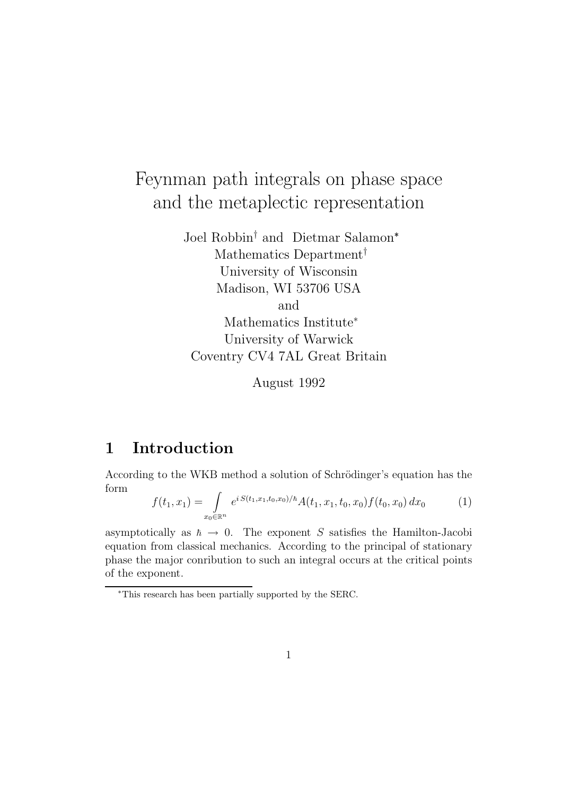# Feynman path integrals on phase space and the metaplectic representation

Joel Robbin† and Dietmar Salamon<sup>∗</sup> Mathematics Department† University of Wisconsin Madison, WI 53706 USA and Mathematics Institute<sup>∗</sup> University of Warwick Coventry CV4 7AL Great Britain

August 1992

## 1 Introduction

According to the WKB method a solution of Schrödinger's equation has the form

$$
f(t_1, x_1) = \int_{x_0 \in \mathbb{R}^n} e^{i S(t_1, x_1, t_0, x_0)/\hbar} A(t_1, x_1, t_0, x_0) f(t_0, x_0) dx_0 \tag{1}
$$

asymptotically as  $\hbar \to 0$ . The exponent S satisfies the Hamilton-Jacobi equation from classical mechanics. According to the principal of stationary phase the major conribution to such an integral occurs at the critical points of the exponent.

<sup>∗</sup>This research has been partially supported by the SERC.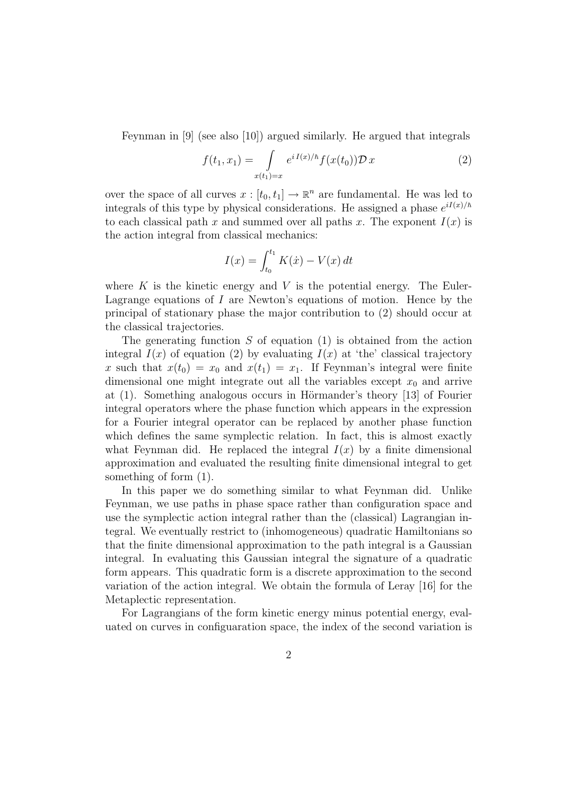Feynman in [9] (see also [10]) argued similarly. He argued that integrals

$$
f(t_1, x_1) = \int_{x(t_1) = x} e^{i I(x)/\hbar} f(x(t_0)) \mathcal{D} x
$$
 (2)

over the space of all curves  $x : [t_0, t_1] \to \mathbb{R}^n$  are fundamental. He was led to integrals of this type by physical considerations. He assigned a phase  $e^{iI(x)/\hbar}$ to each classical path x and summed over all paths x. The exponent  $I(x)$  is the action integral from classical mechanics:

$$
I(x) = \int_{t_0}^{t_1} K(\dot{x}) - V(x) dt
$$

where  $K$  is the kinetic energy and  $V$  is the potential energy. The Euler-Lagrange equations of  $I$  are Newton's equations of motion. Hence by the principal of stationary phase the major contribution to (2) should occur at the classical trajectories.

The generating function  $S$  of equation (1) is obtained from the action integral  $I(x)$  of equation (2) by evaluating  $I(x)$  at 'the' classical trajectory x such that  $x(t_0) = x_0$  and  $x(t_1) = x_1$ . If Feynman's integral were finite dimensional one might integrate out all the variables except  $x_0$  and arrive at  $(1)$ . Something analogous occurs in Hörmander's theory [13] of Fourier integral operators where the phase function which appears in the expression for a Fourier integral operator can be replaced by another phase function which defines the same symplectic relation. In fact, this is almost exactly what Feynman did. He replaced the integral  $I(x)$  by a finite dimensional approximation and evaluated the resulting finite dimensional integral to get something of form (1).

In this paper we do something similar to what Feynman did. Unlike Feynman, we use paths in phase space rather than configuration space and use the symplectic action integral rather than the (classical) Lagrangian integral. We eventually restrict to (inhomogeneous) quadratic Hamiltonians so that the finite dimensional approximation to the path integral is a Gaussian integral. In evaluating this Gaussian integral the signature of a quadratic form appears. This quadratic form is a discrete approximation to the second variation of the action integral. We obtain the formula of Leray [16] for the Metaplectic representation.

For Lagrangians of the form kinetic energy minus potential energy, evaluated on curves in configuaration space, the index of the second variation is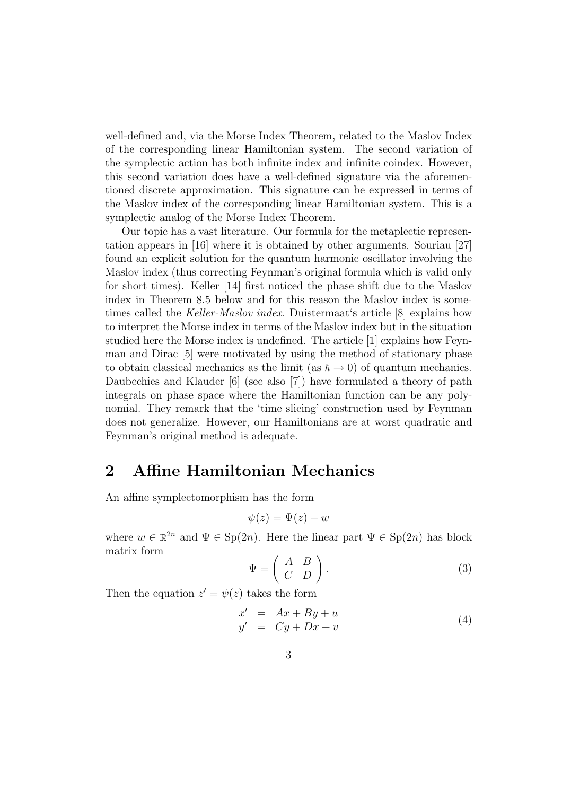well-defined and, via the Morse Index Theorem, related to the Maslov Index of the corresponding linear Hamiltonian system. The second variation of the symplectic action has both infinite index and infinite coindex. However, this second variation does have a well-defined signature via the aforementioned discrete approximation. This signature can be expressed in terms of the Maslov index of the corresponding linear Hamiltonian system. This is a symplectic analog of the Morse Index Theorem.

Our topic has a vast literature. Our formula for the metaplectic representation appears in [16] where it is obtained by other arguments. Souriau [27] found an explicit solution for the quantum harmonic oscillator involving the Maslov index (thus correcting Feynman's original formula which is valid only for short times). Keller [14] first noticed the phase shift due to the Maslov index in Theorem 8.5 below and for this reason the Maslov index is sometimes called the Keller-Maslov index. Duistermaat's article [8] explains how to interpret the Morse index in terms of the Maslov index but in the situation studied here the Morse index is undefined. The article [1] explains how Feynman and Dirac [5] were motivated by using the method of stationary phase to obtain classical mechanics as the limit (as  $\hbar \to 0$ ) of quantum mechanics. Daubechies and Klauder [6] (see also [7]) have formulated a theory of path integrals on phase space where the Hamiltonian function can be any polynomial. They remark that the 'time slicing' construction used by Feynman does not generalize. However, our Hamiltonians are at worst quadratic and Feynman's original method is adequate.

#### 2 Affine Hamiltonian Mechanics

An affine symplectomorphism has the form

$$
\psi(z) = \Psi(z) + w
$$

where  $w \in \mathbb{R}^{2n}$  and  $\Psi \in \text{Sp}(2n)$ . Here the linear part  $\Psi \in \text{Sp}(2n)$  has block matrix form

$$
\Psi = \left( \begin{array}{cc} A & B \\ C & D \end{array} \right). \tag{3}
$$

Then the equation  $z' = \psi(z)$  takes the form

$$
x' = Ax + By + u
$$
  
\n
$$
y' = Cy + Dx + v
$$
\n(4)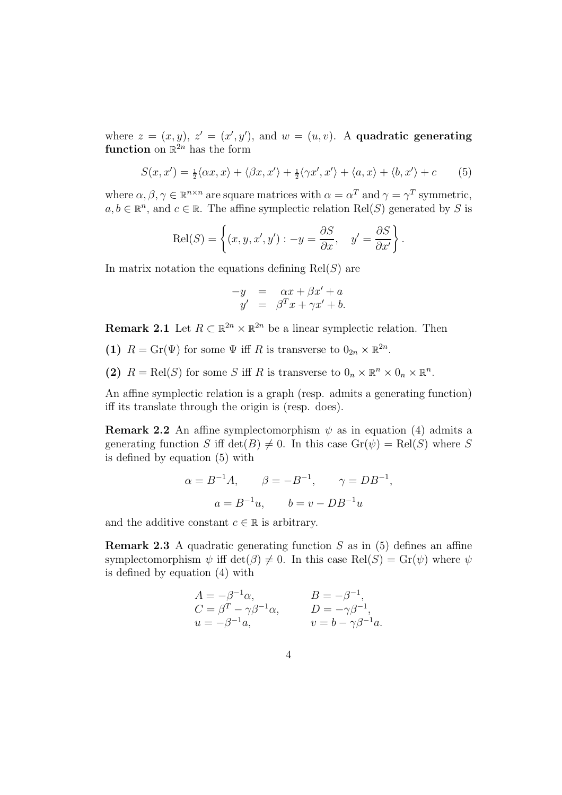where  $z = (x, y), z' = (x', y'),$  and  $w = (u, v)$ . A quadratic generating function on  $\mathbb{R}^{2n}$  has the form

$$
S(x, x') = \frac{1}{2} \langle \alpha x, x \rangle + \langle \beta x, x' \rangle + \frac{1}{2} \langle \gamma x', x' \rangle + \langle a, x \rangle + \langle b, x' \rangle + c \tag{5}
$$

where  $\alpha, \beta, \gamma \in \mathbb{R}^{n \times n}$  are square matrices with  $\alpha = \alpha^T$  and  $\gamma = \gamma^T$  symmetric,  $a, b \in \mathbb{R}^n$ , and  $c \in \mathbb{R}$ . The affine symplectic relation Rel(S) generated by S is

$$
\text{Rel}(S) = \left\{ (x, y, x', y') : -y = \frac{\partial S}{\partial x}, \quad y' = \frac{\partial S}{\partial x'} \right\}.
$$

In matrix notation the equations defining  $Rel(S)$  are

$$
\begin{array}{rcl}\n-y & = & \alpha x + \beta x' + a \\
y' & = & \beta^T x + \gamma x' + b.\n\end{array}
$$

**Remark 2.1** Let  $R \subset \mathbb{R}^{2n} \times \mathbb{R}^{2n}$  be a linear symplectic relation. Then

- (1)  $R = \text{Gr}(\Psi)$  for some  $\Psi$  iff R is transverse to  $0_{2n} \times \mathbb{R}^{2n}$ .
- (2)  $R = \text{Rel}(S)$  for some S iff R is transverse to  $0_n \times \mathbb{R}^n \times 0_n \times \mathbb{R}^n$ .

An affine symplectic relation is a graph (resp. admits a generating function) iff its translate through the origin is (resp. does).

**Remark 2.2** An affine symplectomorphism  $\psi$  as in equation (4) admits a generating function S iff  $\det(B) \neq 0$ . In this case  $\mathrm{Gr}(\psi) = \mathrm{Rel}(S)$  where S is defined by equation (5) with

$$
\alpha = B^{-1}A
$$
,  $\beta = -B^{-1}$ ,  $\gamma = DB^{-1}$ ,  
\n $a = B^{-1}u$ ,  $b = v - DB^{-1}u$ 

and the additive constant  $c \in \mathbb{R}$  is arbitrary.

**Remark 2.3** A quadratic generating function S as in  $(5)$  defines an affine symplectomorphism  $\psi$  iff  $\det(\beta) \neq 0$ . In this case  $\text{Rel}(S) = \text{Gr}(\psi)$  where  $\psi$ is defined by equation (4) with

$$
A = -\beta^{-1}\alpha,
$$
  
\n
$$
C = \beta^{T} - \gamma\beta^{-1}\alpha,
$$
  
\n
$$
B = -\beta^{-1},
$$
  
\n
$$
D = -\gamma\beta^{-1},
$$
  
\n
$$
v = b - \gamma\beta^{-1}a.
$$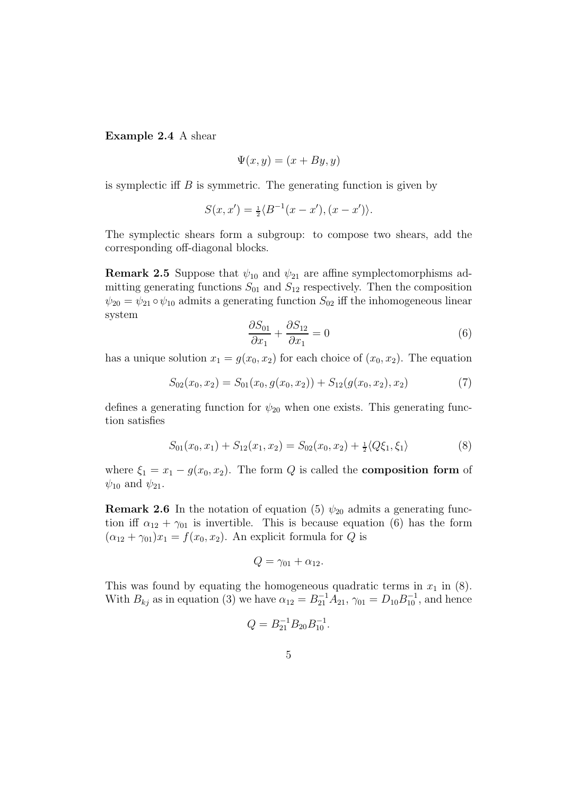Example 2.4 A shear

$$
\Psi(x, y) = (x + By, y)
$$

is symplectic iff  $B$  is symmetric. The generating function is given by

$$
S(x, x') = \frac{1}{2} \langle B^{-1}(x - x'), (x - x') \rangle.
$$

The symplectic shears form a subgroup: to compose two shears, add the corresponding off-diagonal blocks.

**Remark 2.5** Suppose that  $\psi_{10}$  and  $\psi_{21}$  are affine symplectomorphisms admitting generating functions  $S_{01}$  and  $S_{12}$  respectively. Then the composition  $\psi_{20} = \psi_{21} \circ \psi_{10}$  admits a generating function  $S_{02}$  iff the inhomogeneous linear system

$$
\frac{\partial S_{01}}{\partial x_1} + \frac{\partial S_{12}}{\partial x_1} = 0 \tag{6}
$$

has a unique solution  $x_1 = g(x_0, x_2)$  for each choice of  $(x_0, x_2)$ . The equation

$$
S_{02}(x_0, x_2) = S_{01}(x_0, g(x_0, x_2)) + S_{12}(g(x_0, x_2), x_2)
$$
\n<sup>(7)</sup>

defines a generating function for  $\psi_{20}$  when one exists. This generating function satisfies

$$
S_{01}(x_0, x_1) + S_{12}(x_1, x_2) = S_{02}(x_0, x_2) + \frac{1}{2} \langle Q\xi_1, \xi_1 \rangle
$$
 (8)

where  $\xi_1 = x_1 - g(x_0, x_2)$ . The form Q is called the **composition form** of  $\psi_{10}$  and  $\psi_{21}$ .

**Remark 2.6** In the notation of equation (5)  $\psi_{20}$  admits a generating function iff  $\alpha_{12} + \gamma_{01}$  is invertible. This is because equation (6) has the form  $(\alpha_{12} + \gamma_{01})x_1 = f(x_0, x_2)$ . An explicit formula for Q is

$$
Q=\gamma_{01}+\alpha_{12}.
$$

This was found by equating the homogeneous quadratic terms in  $x_1$  in (8). With  $B_{kj}$  as in equation (3) we have  $\alpha_{12} = B_{21}^{-1} A_{21}$ ,  $\gamma_{01} = D_{10} B_{10}^{-1}$ , and hence

$$
Q = B_{21}^{-1} B_{20} B_{10}^{-1}.
$$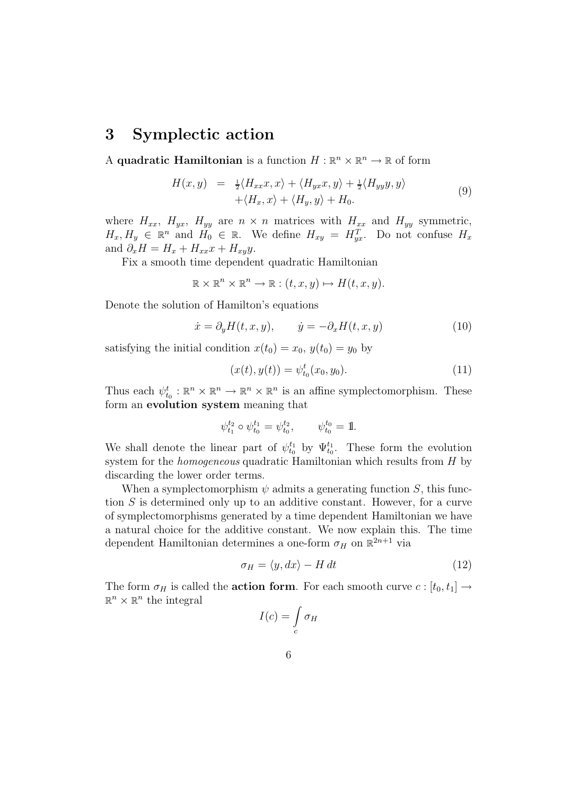#### 3 Symplectic action

A quadratic Hamiltonian is a function  $H : \mathbb{R}^n \times \mathbb{R}^n \to \mathbb{R}$  of form

$$
H(x,y) = \frac{1}{2} \langle H_{xx}x, x \rangle + \langle H_{yx}x, y \rangle + \frac{1}{2} \langle H_{yy}y, y \rangle + \langle H_x, x \rangle + \langle H_y, y \rangle + H_0.
$$
 (9)

where  $H_{xx}$ ,  $H_{yx}$ ,  $H_{yy}$  are  $n \times n$  matrices with  $H_{xx}$  and  $H_{yy}$  symmetric,  $H_x, H_y \in \mathbb{R}^n$  and  $H_0 \in \mathbb{R}$ . We define  $H_{xy} = H_{yx}^T$ . Do not confuse  $H_x$ and  $\partial_x H = H_x + H_{xx}x + H_{xy}y$ .

Fix a smooth time dependent quadratic Hamiltonian

$$
\mathbb{R} \times \mathbb{R}^n \times \mathbb{R}^n \to \mathbb{R} : (t, x, y) \mapsto H(t, x, y).
$$

Denote the solution of Hamilton's equations

$$
\dot{x} = \partial_y H(t, x, y), \qquad \dot{y} = -\partial_x H(t, x, y) \tag{10}
$$

satisfying the initial condition  $x(t_0) = x_0, y(t_0) = y_0$  by

$$
(x(t), y(t)) = \psi_{t_0}^t(x_0, y_0).
$$
 (11)

Thus each  $\psi_{t_0}^t : \mathbb{R}^n \times \mathbb{R}^n \to \mathbb{R}^n \times \mathbb{R}^n$  is an affine symplectomorphism. These form an evolution system meaning that

$$
\psi_{t_1}^{t_2} \circ \psi_{t_0}^{t_1} = \psi_{t_0}^{t_2}, \qquad \psi_{t_0}^{t_0} = 1.
$$

We shall denote the linear part of  $\psi_{t_0}^{t_1}$  by  $\Psi_{t_0}^{t_1}$ . These form the evolution system for the *homogeneous* quadratic Hamiltonian which results from H by discarding the lower order terms.

When a symplectomorphism  $\psi$  admits a generating function S, this function S is determined only up to an additive constant. However, for a curve of symplectomorphisms generated by a time dependent Hamiltonian we have a natural choice for the additive constant. We now explain this. The time dependent Hamiltonian determines a one-form  $\sigma_H$  on  $\mathbb{R}^{2n+1}$  via

$$
\sigma_H = \langle y, dx \rangle - H \, dt \tag{12}
$$

The form  $\sigma_H$  is called the **action form**. For each smooth curve  $c : [t_0, t_1] \rightarrow$  $\mathbb{R}^n \times \mathbb{R}^n$  the integral

$$
I(c) = \int\limits_c \sigma_H
$$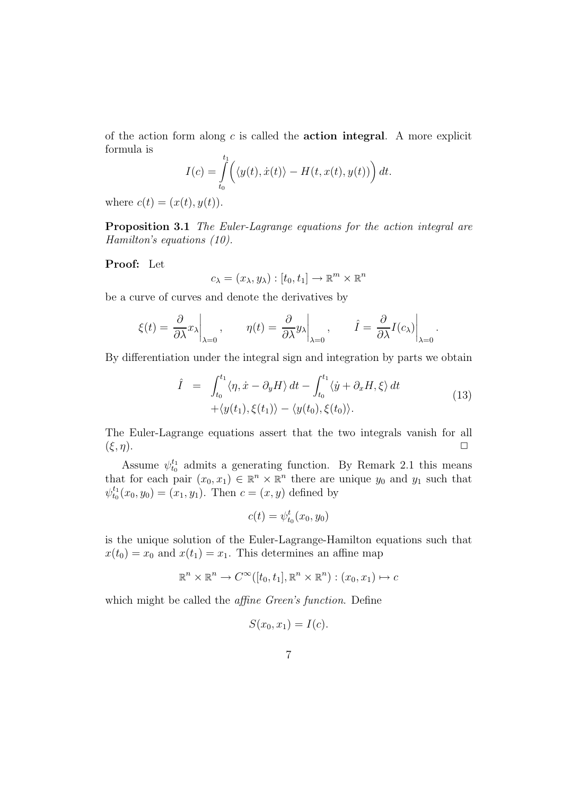of the action form along  $c$  is called the **action integral**. A more explicit formula is

$$
I(c) = \int_{t_0}^{t_1} \left( \langle y(t), \dot{x}(t) \rangle - H(t, x(t), y(t)) \right) dt.
$$

where  $c(t) = (x(t), y(t)).$ 

Proposition 3.1 The Euler-Lagrange equations for the action integral are Hamilton's equations (10).

Proof: Let

$$
c_{\lambda} = (x_{\lambda}, y_{\lambda}) : [t_0, t_1] \to \mathbb{R}^m \times \mathbb{R}^n
$$

be a curve of curves and denote the derivatives by

$$
\xi(t) = \frac{\partial}{\partial \lambda} x_{\lambda} \bigg|_{\lambda=0}, \qquad \eta(t) = \frac{\partial}{\partial \lambda} y_{\lambda} \bigg|_{\lambda=0}, \qquad \hat{I} = \frac{\partial}{\partial \lambda} I(c_{\lambda}) \bigg|_{\lambda=0}.
$$

By differentiation under the integral sign and integration by parts we obtain

$$
\hat{I} = \int_{t_0}^{t_1} \langle \eta, \dot{x} - \partial_y H \rangle dt - \int_{t_0}^{t_1} \langle \dot{y} + \partial_x H, \xi \rangle dt \n+ \langle y(t_1), \xi(t_1) \rangle - \langle y(t_0), \xi(t_0) \rangle.
$$
\n(13)

The Euler-Lagrange equations assert that the two integrals vanish for all  $(\xi, \eta)$ .

Assume  $\psi_{t_0}^{t_1}$  admits a generating function. By Remark 2.1 this means that for each pair  $(x_0, x_1) \in \mathbb{R}^n \times \mathbb{R}^n$  there are unique  $y_0$  and  $y_1$  such that  $\psi_{t_0}^{t_1}(x_0, y_0) = (x_1, y_1)$ . Then  $c = (x, y)$  defined by

$$
c(t) = \psi_{t_0}^t(x_0, y_0)
$$

is the unique solution of the Euler-Lagrange-Hamilton equations such that  $x(t_0) = x_0$  and  $x(t_1) = x_1$ . This determines an affine map

$$
\mathbb{R}^n \times \mathbb{R}^n \to C^\infty([t_0, t_1], \mathbb{R}^n \times \mathbb{R}^n) : (x_0, x_1) \mapsto c
$$

which might be called the *affine Green's function*. Define

$$
S(x_0, x_1) = I(c).
$$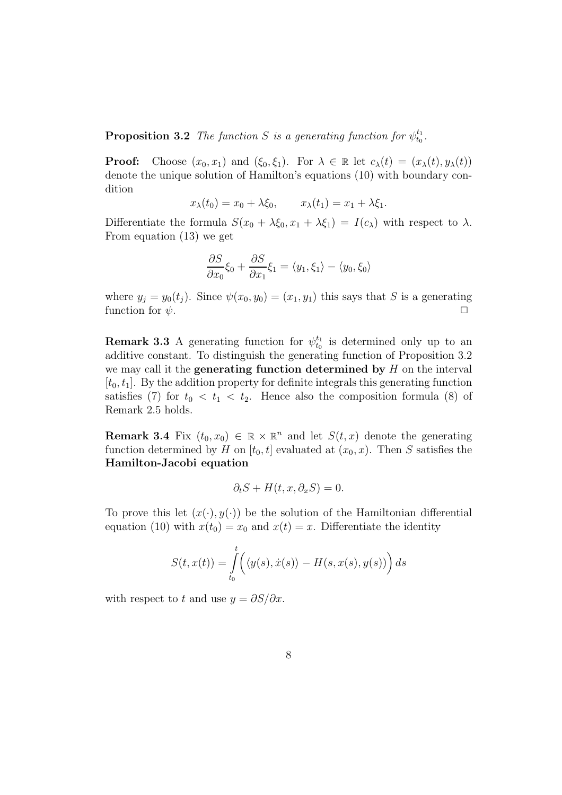**Proposition 3.2** The function S is a generating function for  $\psi_{t_0}^{t_1}$ .

**Proof:** Choose  $(x_0, x_1)$  and  $(\xi_0, \xi_1)$ . For  $\lambda \in \mathbb{R}$  let  $c_\lambda(t) = (x_\lambda(t), y_\lambda(t))$ denote the unique solution of Hamilton's equations (10) with boundary condition

$$
x_{\lambda}(t_0) = x_0 + \lambda \xi_0, \qquad x_{\lambda}(t_1) = x_1 + \lambda \xi_1.
$$

Differentiate the formula  $S(x_0 + \lambda \xi_0, x_1 + \lambda \xi_1) = I(c_{\lambda})$  with respect to  $\lambda$ . From equation (13) we get

$$
\frac{\partial S}{\partial x_0}\xi_0 + \frac{\partial S}{\partial x_1}\xi_1 = \langle y_1, \xi_1 \rangle - \langle y_0, \xi_0 \rangle
$$

where  $y_j = y_0(t_j)$ . Since  $\psi(x_0, y_0) = (x_1, y_1)$  this says that S is a generating function for  $\psi$ .

**Remark 3.3** A generating function for  $\psi_{t_0}^{t_1}$  is determined only up to an additive constant. To distinguish the generating function of Proposition 3.2 we may call it the **generating function determined by**  $H$  on the interval  $[t_0, t_1]$ . By the addition property for definite integrals this generating function satisfies (7) for  $t_0 < t_1 < t_2$ . Hence also the composition formula (8) of Remark 2.5 holds.

**Remark 3.4** Fix  $(t_0, x_0) \in \mathbb{R} \times \mathbb{R}^n$  and let  $S(t, x)$  denote the generating function determined by H on  $[t_0, t]$  evaluated at  $(x_0, x)$ . Then S satisfies the Hamilton-Jacobi equation

$$
\partial_t S + H(t, x, \partial_x S) = 0.
$$

To prove this let  $(x(\cdot), y(\cdot))$  be the solution of the Hamiltonian differential equation (10) with  $x(t_0) = x_0$  and  $x(t) = x$ . Differentiate the identity

$$
S(t, x(t)) = \int_{t_0}^t \left( \langle y(s), \dot{x}(s) \rangle - H(s, x(s), y(s)) \right) ds
$$

with respect to t and use  $y = \partial S/\partial x$ .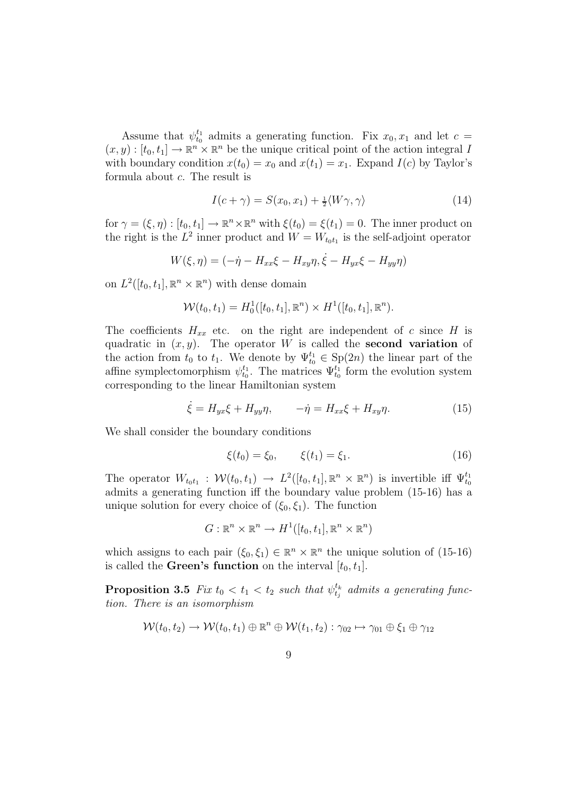Assume that  $\psi_{t_0}^{t_1}$  admits a generating function. Fix  $x_0, x_1$  and let  $c =$  $(x, y) : [t_0, t_1] \to \mathbb{R}^n \times \mathbb{R}^n$  be the unique critical point of the action integral I with boundary condition  $x(t_0) = x_0$  and  $x(t_1) = x_1$ . Expand  $I(c)$  by Taylor's formula about c. The result is

$$
I(c+\gamma) = S(x_0, x_1) + \frac{1}{2} \langle W\gamma, \gamma \rangle \tag{14}
$$

for  $\gamma = (\xi, \eta) : [t_0, t_1] \to \mathbb{R}^n \times \mathbb{R}^n$  with  $\xi(t_0) = \xi(t_1) = 0$ . The inner product on the right is the  $L^2$  inner product and  $W = W_{t_0 t_1}$  is the self-adjoint operator

$$
W(\xi, \eta) = (-\dot{\eta} - H_{xx}\xi - H_{xy}\eta, \dot{\xi} - H_{yx}\xi - H_{yy}\eta)
$$

on  $L^2([t_0, t_1], \mathbb{R}^n \times \mathbb{R}^n)$  with dense domain

$$
\mathcal{W}(t_0, t_1) = H_0^1([t_0, t_1], \mathbb{R}^n) \times H^1([t_0, t_1], \mathbb{R}^n).
$$

The coefficients  $H_{xx}$  etc. on the right are independent of c since H is quadratic in  $(x, y)$ . The operator W is called the **second variation** of the action from  $t_0$  to  $t_1$ . We denote by  $\Psi_{t_0}^{t_1} \in \text{Sp}(2n)$  the linear part of the affine symplectomorphism  $\psi_{t_0}^{t_1}$ . The matrices  $\Psi_{t_0}^{t_1}$  form the evolution system corresponding to the linear Hamiltonian system

$$
\dot{\xi} = H_{yx}\xi + H_{yy}\eta, \qquad -\dot{\eta} = H_{xx}\xi + H_{xy}\eta. \tag{15}
$$

We shall consider the boundary conditions

$$
\xi(t_0) = \xi_0, \qquad \xi(t_1) = \xi_1. \tag{16}
$$

The operator  $W_{t_0t_1}$ :  $W(t_0, t_1) \to L^2([t_0, t_1], \mathbb{R}^n \times \mathbb{R}^n)$  is invertible iff  $\Psi_{t_0}^{t_1}$ admits a generating function iff the boundary value problem (15-16) has a unique solution for every choice of  $(\xi_0, \xi_1)$ . The function

$$
G: \mathbb{R}^n \times \mathbb{R}^n \to H^1([t_0, t_1], \mathbb{R}^n \times \mathbb{R}^n)
$$

which assigns to each pair  $(\xi_0, \xi_1) \in \mathbb{R}^n \times \mathbb{R}^n$  the unique solution of  $(15\n-16)$ is called the **Green's function** on the interval  $[t_0, t_1]$ .

**Proposition 3.5** Fix  $t_0 < t_1 < t_2$  such that  $\psi_{t_j}^{t_k}$  admits a generating function. There is an isomorphism

$$
\mathcal{W}(t_0, t_2) \to \mathcal{W}(t_0, t_1) \oplus \mathbb{R}^n \oplus \mathcal{W}(t_1, t_2) : \gamma_{02} \mapsto \gamma_{01} \oplus \xi_1 \oplus \gamma_{12}
$$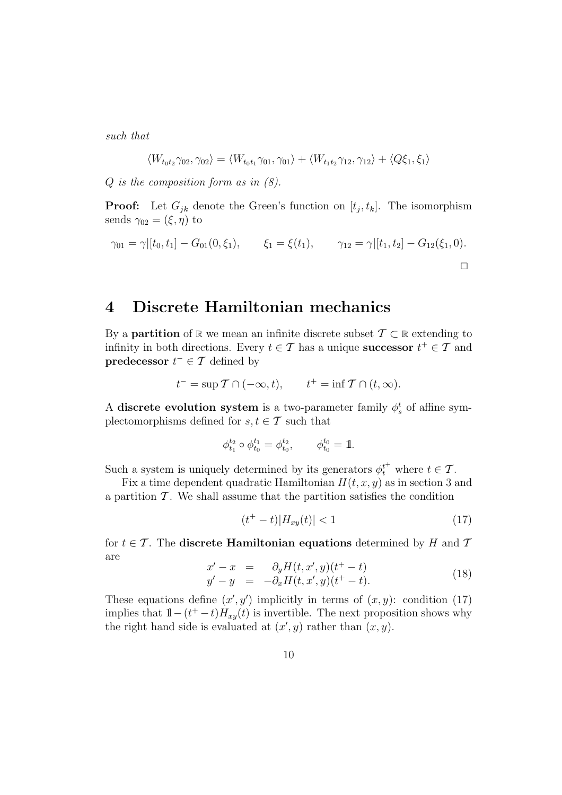such that

$$
\langle W_{t_0t_2}\gamma_{02}, \gamma_{02}\rangle = \langle W_{t_0t_1}\gamma_{01}, \gamma_{01}\rangle + \langle W_{t_1t_2}\gamma_{12}, \gamma_{12}\rangle + \langle Q\xi_1, \xi_1\rangle
$$

 $Q$  is the composition form as in  $(8)$ .

**Proof:** Let  $G_{jk}$  denote the Green's function on  $[t_j, t_k]$ . The isomorphism sends  $\gamma_{02} = (\xi, \eta)$  to

$$
\gamma_{01} = \gamma | [t_0, t_1] - G_{01}(0, \xi_1), \qquad \xi_1 = \xi(t_1), \qquad \gamma_{12} = \gamma | [t_1, t_2] - G_{12}(\xi_1, 0).
$$

### 4 Discrete Hamiltonian mechanics

By a **partition** of R we mean an infinite discrete subset  $\mathcal{T} \subset \mathbb{R}$  extending to infinity in both directions. Every  $t \in \mathcal{T}$  has a unique **successor**  $t^+ \in \mathcal{T}$  and **predecessor**  $t^- \in \mathcal{T}$  defined by

$$
t^- = \sup \mathcal{T} \cap (-\infty, t), \qquad t^+ = \inf \mathcal{T} \cap (t, \infty).
$$

A discrete evolution system is a two-parameter family  $\phi_s^t$  of affine symplectomorphisms defined for  $s, t \in \mathcal{T}$  such that

$$
\phi^{t_2}_{t_1} \circ \phi^{t_1}_{t_0} = \phi^{t_2}_{t_0}, \qquad \phi^{t_0}_{t_0} = 1.
$$

Such a system is uniquely determined by its generators  $\phi_t^{t^+}$  where  $t \in \mathcal{T}$ .

Fix a time dependent quadratic Hamiltonian  $H(t, x, y)$  as in section 3 and a partition  $\mathcal T$ . We shall assume that the partition satisfies the condition

$$
(t^+ - t)|H_{xy}(t)| < 1\tag{17}
$$

for  $t \in \mathcal{T}$ . The **discrete Hamiltonian equations** determined by H and T are

$$
x' - x = \partial_y H(t, x', y)(t^+ - t) \n y' - y = -\partial_x H(t, x', y)(t^+ - t).
$$
\n(18)

These equations define  $(x', y')$  implicitly in terms of  $(x, y)$ : condition (17) implies that  $1 - (t^+ - t)H_{xy}(t)$  is invertible. The next proposition shows why the right hand side is evaluated at  $(x', y)$  rather than  $(x, y)$ .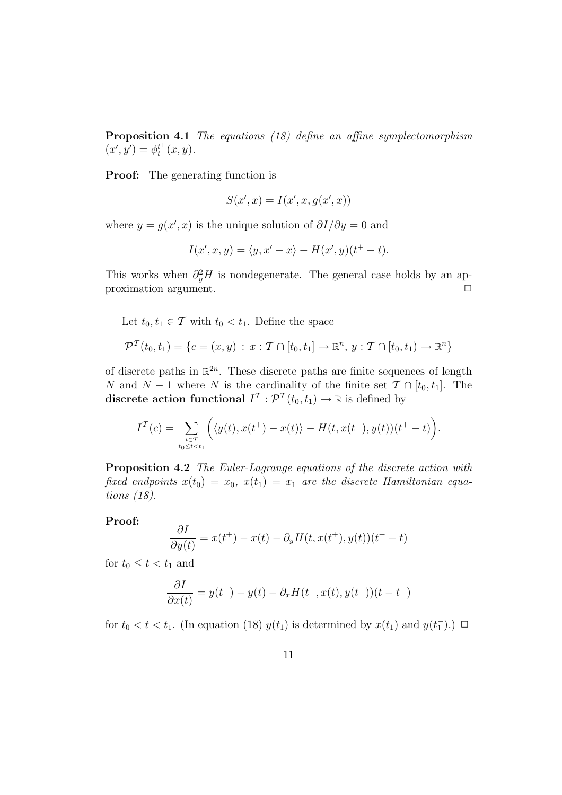Proposition 4.1 The equations (18) define an affine symplectomorphism  $(x', y') = \phi_t^{t^+}(x, y).$ 

Proof: The generating function is

$$
S(x',x) = I(x',x,g(x',x))
$$

where  $y = g(x', x)$  is the unique solution of  $\partial I/\partial y = 0$  and

$$
I(x',x,y) = \langle y, x'-x \rangle - H(x',y)(t^+ - t).
$$

This works when  $\partial_y^2 H$  is nondegenerate. The general case holds by an approximation argument.

Let  $t_0, t_1 \in \mathcal{T}$  with  $t_0 < t_1$ . Define the space

$$
\mathcal{P}^{T}(t_{0}, t_{1}) = \{c = (x, y) : x : T \cap [t_{0}, t_{1}] \to \mathbb{R}^{n}, y : T \cap [t_{0}, t_{1}] \to \mathbb{R}^{n}\}\
$$

of discrete paths in  $\mathbb{R}^{2n}$ . These discrete paths are finite sequences of length N and N − 1 where N is the cardinality of the finite set  $\mathcal{T} \cap [t_0, t_1]$ . The discrete action functional  $I^{\mathcal{T}}: \mathcal{P}^{\mathcal{T}}(t_0, t_1) \to \mathbb{R}$  is defined by

$$
I^{\mathcal{T}}(c) = \sum_{\substack{t \in \mathcal{T} \\ t_0 \le t < t_1}} \left( \langle y(t), x(t^+) - x(t) \rangle - H(t, x(t^+), y(t)) (t^+ - t) \right).
$$

Proposition 4.2 The Euler-Lagrange equations of the discrete action with fixed endpoints  $x(t_0) = x_0$ ,  $x(t_1) = x_1$  are the discrete Hamiltonian equations (18).

#### Proof:

$$
\frac{\partial I}{\partial y(t)} = x(t^+) - x(t) - \partial_y H(t, x(t^+), y(t))(t^+ - t)
$$

for  $t_0 \leq t < t_1$  and

$$
\frac{\partial I}{\partial x(t)} = y(t^-) - y(t) - \partial_x H(t^-, x(t), y(t^-))(t - t^-)
$$

for  $t_0 < t < t_1$ . (In equation (18)  $y(t_1)$  is determined by  $x(t_1)$  and  $y(t_1^-)$ .)  $\Box$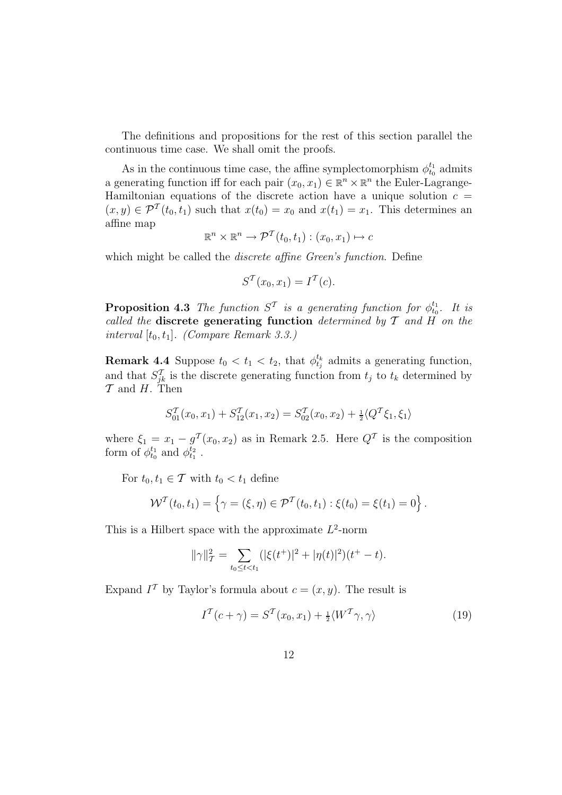The definitions and propositions for the rest of this section parallel the continuous time case. We shall omit the proofs.

As in the continuous time case, the affine symplectomorphism  $\phi_{t_0}^{t_1}$  admits a generating function iff for each pair  $(x_0, x_1) \in \mathbb{R}^n \times \mathbb{R}^n$  the Euler-Lagrange-Hamiltonian equations of the discrete action have a unique solution  $c =$  $(x, y) \in \mathcal{P}^{T}(t_0, t_1)$  such that  $x(t_0) = x_0$  and  $x(t_1) = x_1$ . This determines an affine map

$$
\mathbb{R}^n \times \mathbb{R}^n \to \mathcal{P}^{\mathcal{T}}(t_0, t_1) : (x_0, x_1) \mapsto c
$$

which might be called the *discrete affine Green's function*. Define

$$
S^{\mathcal{T}}(x_0, x_1) = I^{\mathcal{T}}(c).
$$

**Proposition 4.3** The function  $S^{\mathcal{T}}$  is a generating function for  $\phi_{t_0}^{t_1}$ . It is called the discrete generating function determined by  $\mathcal T$  and  $H$  on the interval  $[t_0, t_1]$ . (Compare Remark 3.3.)

**Remark 4.4** Suppose  $t_0 < t_1 < t_2$ , that  $\phi_{t_j}^{t_k}$  admits a generating function, and that  $S_{jk}^{\mathcal{T}}$  is the discrete generating function from  $t_j$  to  $t_k$  determined by  $\mathcal T$  and  $H$ . Then

$$
S_{01}^{\mathcal{T}}(x_0, x_1) + S_{12}^{\mathcal{T}}(x_1, x_2) = S_{02}^{\mathcal{T}}(x_0, x_2) + \frac{1}{2} \langle Q^{\mathcal{T}} \xi_1, \xi_1 \rangle
$$

where  $\xi_1 = x_1 - g^T(x_0, x_2)$  as in Remark 2.5. Here  $Q^T$  is the composition form of  $\phi_{t_0}^{t_1}$  and  $\phi_{t_1}^{t_2}$ .

For  $t_0, t_1 \in \mathcal{T}$  with  $t_0 < t_1$  define

$$
\mathcal{W}^{T}(t_{0}, t_{1}) = \left\{\gamma = (\xi, \eta) \in \mathcal{P}^{T}(t_{0}, t_{1}) : \xi(t_{0}) = \xi(t_{1}) = 0\right\}.
$$

This is a Hilbert space with the approximate  $L^2$ -norm

$$
\|\gamma\|_{\mathcal{T}}^2 = \sum_{t_0 \le t < t_1} (|\xi(t^+)|^2 + |\eta(t)|^2)(t^+ - t).
$$

Expand  $I^{\mathcal{T}}$  by Taylor's formula about  $c = (x, y)$ . The result is

$$
I^{T}(c+\gamma) = S^{T}(x_0, x_1) + \frac{1}{2} \langle W^{T}\gamma, \gamma \rangle \tag{19}
$$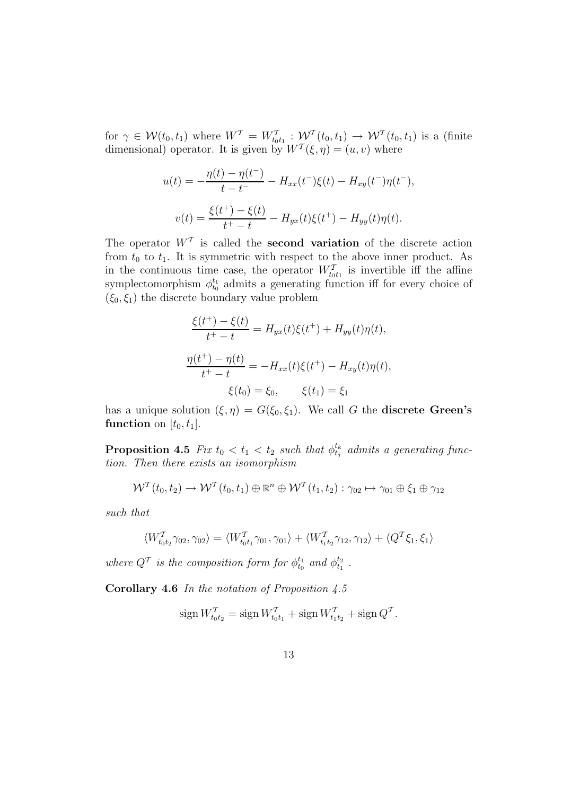for  $\gamma \in \mathcal{W}(t_0, t_1)$  where  $W^T = W_{t_0 t_1}^T : \mathcal{W}^T(t_0, t_1) \to \mathcal{W}^T(t_0, t_1)$  is a (finite dimensional) operator. It is given by  $W^{T}(\xi, \eta) = (u, v)$  where

$$
u(t) = -\frac{\eta(t) - \eta(t^{-})}{t - t^{-}} - H_{xx}(t^{-})\xi(t) - H_{xy}(t^{-})\eta(t^{-}),
$$
  

$$
v(t) = \frac{\xi(t^{+}) - \xi(t)}{t^{+} - t} - H_{yx}(t)\xi(t^{+}) - H_{yy}(t)\eta(t).
$$

The operator  $W^T$  is called the **second variation** of the discrete action from  $t_0$  to  $t_1$ . It is symmetric with respect to the above inner product. As in the continuous time case, the operator  $W_{t_0t_1}^{\mathcal{T}}$  is invertible iff the affine symplectomorphism  $\phi_{t_0}^{t_1}$  admits a generating function iff for every choice of  $(\xi_0, \xi_1)$  the discrete boundary value problem

$$
\frac{\xi(t^+) - \xi(t)}{t^+ - t} = H_{yx}(t)\xi(t^+) + H_{yy}(t)\eta(t),
$$
  

$$
\frac{\eta(t^+) - \eta(t)}{t^+ - t} = -H_{xx}(t)\xi(t^+) - H_{xy}(t)\eta(t),
$$
  

$$
\xi(t_0) = \xi_0, \qquad \xi(t_1) = \xi_1
$$

has a unique solution  $(\xi, \eta) = G(\xi_0, \xi_1)$ . We call G the **discrete Green's** function on  $[t_0, t_1]$ .

**Proposition 4.5** Fix  $t_0 < t_1 < t_2$  such that  $\phi_{t_j}^{t_k}$  admits a generating function. Then there exists an isomorphism

$$
\mathcal{W}^{T}(t_0,t_2) \to \mathcal{W}^{T}(t_0,t_1) \oplus \mathbb{R}^{n} \oplus \mathcal{W}^{T}(t_1,t_2) : \gamma_{02} \mapsto \gamma_{01} \oplus \xi_1 \oplus \gamma_{12}
$$

such that

$$
\langle W_{t_0t_2}^T \gamma_{02}, \gamma_{02} \rangle = \langle W_{t_0t_1}^T \gamma_{01}, \gamma_{01} \rangle + \langle W_{t_1t_2}^T \gamma_{12}, \gamma_{12} \rangle + \langle Q^T \xi_1, \xi_1 \rangle
$$

where  $Q^{\mathcal{T}}$  is the composition form for  $\phi_{t_0}^{t_1}$  and  $\phi_{t_1}^{t_2}$ .

**Corollary 4.6** In the notation of Proposition  $4.5$ 

$$
\operatorname{sign} W_{t_0 t_2}^T = \operatorname{sign} W_{t_0 t_1}^T + \operatorname{sign} W_{t_1 t_2}^T + \operatorname{sign} Q^T.
$$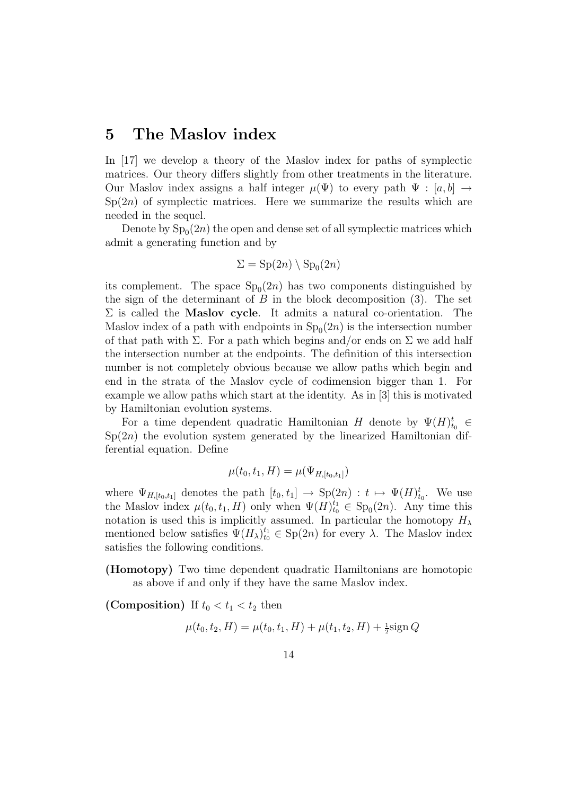#### 5 The Maslov index

In [17] we develop a theory of the Maslov index for paths of symplectic matrices. Our theory differs slightly from other treatments in the literature. Our Maslov index assigns a half integer  $\mu(\Psi)$  to every path  $\Psi : [a, b] \rightarrow$  $Sp(2n)$  of symplectic matrices. Here we summarize the results which are needed in the sequel.

Denote by  $Sp_0(2n)$  the open and dense set of all symplectic matrices which admit a generating function and by

$$
\Sigma = \mathrm{Sp}(2n) \setminus \mathrm{Sp}_0(2n)
$$

its complement. The space  $Sp_0(2n)$  has two components distinguished by the sign of the determinant of  $B$  in the block decomposition (3). The set  $\Sigma$  is called the **Maslov cycle**. It admits a natural co-orientation. The Maslov index of a path with endpoints in  $Sp_0(2n)$  is the intersection number of that path with  $\Sigma$ . For a path which begins and/or ends on  $\Sigma$  we add half the intersection number at the endpoints. The definition of this intersection number is not completely obvious because we allow paths which begin and end in the strata of the Maslov cycle of codimension bigger than 1. For example we allow paths which start at the identity. As in [3] this is motivated by Hamiltonian evolution systems.

For a time dependent quadratic Hamiltonian H denote by  $\Psi(H)_{t_0}^t \in$  $Sp(2n)$  the evolution system generated by the linearized Hamiltonian differential equation. Define

$$
\mu(t_0, t_1, H) = \mu(\Psi_{H, [t_0, t_1]})
$$

where  $\Psi_{H,[t_0,t_1]}$  denotes the path  $[t_0,t_1] \rightarrow Sp(2n) : t \mapsto \Psi(H)_{t_0}^t$ . We use the Maslov index  $\mu(t_0, t_1, H)$  only when  $\Psi(H)_{t_0}^{t_1} \in \text{Sp}_0(2n)$ . Any time this notation is used this is implicitly assumed. In particular the homotopy  $H_{\lambda}$ mentioned below satisfies  $\Psi(H_\lambda)_{t_0}^{t_1} \in \text{Sp}(2n)$  for every  $\lambda$ . The Maslov index satisfies the following conditions.

(Homotopy) Two time dependent quadratic Hamiltonians are homotopic as above if and only if they have the same Maslov index.

(Composition) If  $t_0 < t_1 < t_2$  then

$$
\mu(t_0, t_2, H) = \mu(t_0, t_1, H) + \mu(t_1, t_2, H) + \frac{1}{2}\text{sign }Q
$$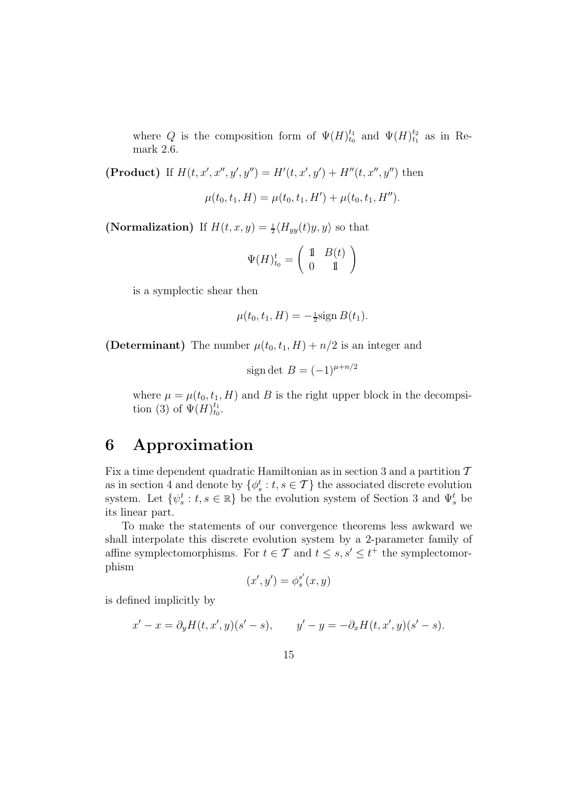where Q is the composition form of  $\Psi(H)_{t_0}^{t_1}$  and  $\Psi(H)_{t_1}^{t_2}$  as in Remark 2.6.

(**Product**) If  $H(t, x', x'', y', y'') = H'(t, x', y') + H''(t, x'', y'')$  then

$$
\mu(t_0, t_1, H) = \mu(t_0, t_1, H') + \mu(t_0, t_1, H'').
$$

(Normalization) If  $H(t, x, y) = \frac{1}{2} \langle H_{yy}(t)y, y \rangle$  so that

$$
\Psi(H)_{t_0}^t = \left(\begin{array}{cc} 1 & B(t) \\ 0 & 1 \end{array}\right)
$$

is a symplectic shear then

$$
\mu(t_0, t_1, H) = -\frac{1}{2}\text{sign }B(t_1).
$$

(Determinant) The number  $\mu(t_0, t_1, H) + n/2$  is an integer and

$$
sign \det B = (-1)^{\mu + n/2}
$$

where  $\mu = \mu(t_0, t_1, H)$  and B is the right upper block in the decompsition (3) of  $\Psi(H)_{t_0}^{t_1}$ .

# 6 Approximation

Fix a time dependent quadratic Hamiltonian as in section 3 and a partition  $\mathcal T$ as in section 4 and denote by  $\{\phi_s^t : t, s \in \mathcal{T}\}\)$  the associated discrete evolution system. Let  $\{\psi_s^t : t, s \in \mathbb{R}\}$  be the evolution system of Section 3 and  $\Psi_s^t$  be its linear part.

To make the statements of our convergence theorems less awkward we shall interpolate this discrete evolution system by a 2-parameter family of affine symplectomorphisms. For  $t \in \mathcal{T}$  and  $t \leq s, s' \leq t^+$  the symplectomorphism

$$
(x',y') = \phi_s^{s'}(x,y)
$$

is defined implicitly by

$$
x' - x = \partial_y H(t, x', y)(s' - s),
$$
  $y' - y = -\partial_x H(t, x', y)(s' - s).$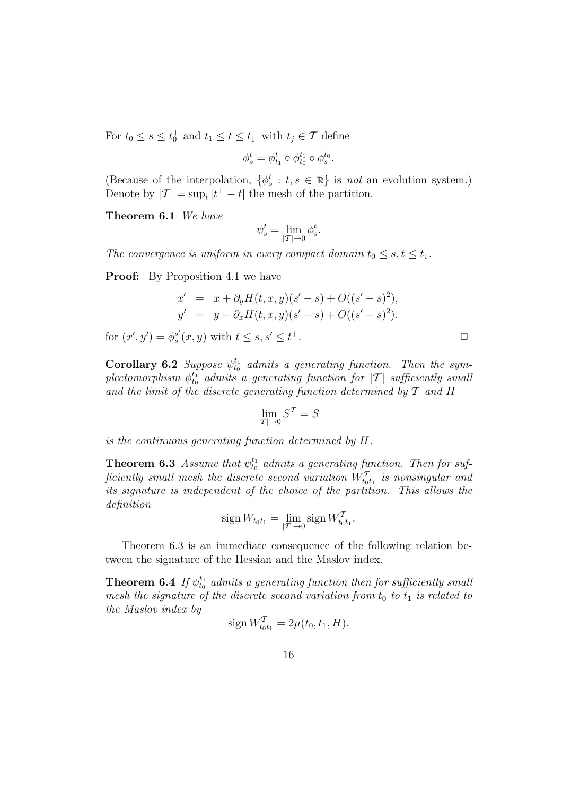For  $t_0 \leq s \leq t_0^+$  and  $t_1 \leq t \leq t_1^+$  with  $t_j \in \mathcal{T}$  define

$$
\phi_s^t=\phi_{t_1}^t\circ\phi_{t_0}^{t_1}\circ\phi_s^{t_0}.
$$

(Because of the interpolation,  $\{\phi_s^t : t, s \in \mathbb{R}\}\$ is not an evolution system.) Denote by  $|T| = \sup_t |t^+ - t|$  the mesh of the partition.

Theorem 6.1 We have

$$
\psi_s^t = \lim_{|T| \to 0} \phi_s^t.
$$

The convergence is uniform in every compact domain  $t_0 \leq s, t \leq t_1$ .

**Proof:** By Proposition 4.1 we have

$$
x' = x + \partial_y H(t, x, y)(s' - s) + O((s' - s)^2),
$$
  
\n
$$
y' = y - \partial_x H(t, x, y)(s' - s) + O((s' - s)^2).
$$

for  $(x', y') = \phi_s^{s'}$  $s'(x, y)$  with  $t \leq s, s' \leq t$  $^+$ .  $\Box$ 

**Corollary 6.2** Suppose  $\psi_{t_0}^{t_1}$  admits a generating function. Then the sym $plectomorphism \,\, \phi^{t_1}_{t_0} \,\,\, admits \,\, a \,\, generating \,\, function \,\, for \,\, |{\cal T}| \,\,\, sufficiently \,\, small$ and the limit of the discrete generating function determined by  $T$  and H

$$
\lim_{|T| \to 0} S^T = S
$$

is the continuous generating function determined by H.

**Theorem 6.3** Assume that  $\psi_{t_0}^{t_1}$  admits a generating function. Then for sufficiently small mesh the discrete second variation  $W_{t_0t_1}^{\mathcal{T}}$  is nonsingular and its signature is independent of the choice of the partition. This allows the definition

$$
\operatorname{sign} W_{t_0 t_1} = \lim_{|T| \to 0} \operatorname{sign} W_{t_0 t_1}^T.
$$

Theorem 6.3 is an immediate consequence of the following relation between the signature of the Hessian and the Maslov index.

**Theorem 6.4** If  $\psi_{t_0}^{t_1}$  admits a generating function then for sufficiently small mesh the signature of the discrete second variation from  $t_0$  to  $t_1$  is related to the Maslov index by

$$
\text{sign}\, W_{t_0t_1}^T = 2\mu(t_0, t_1, H).
$$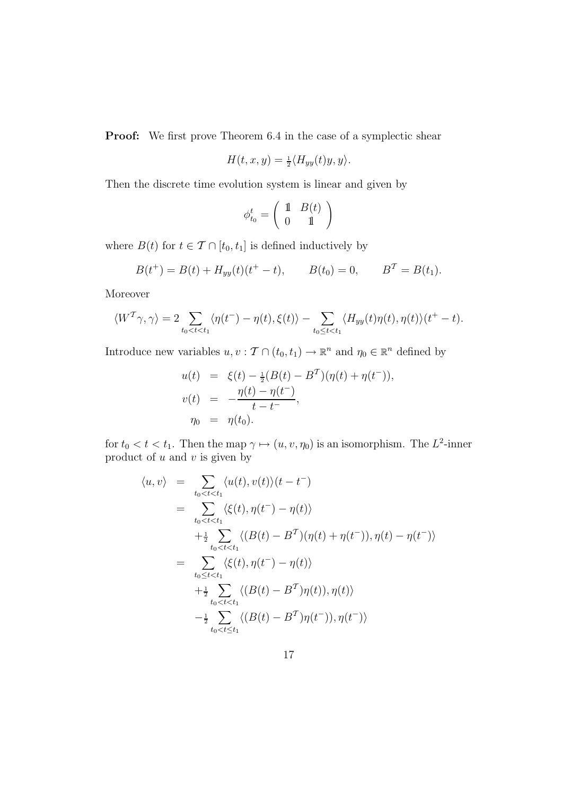**Proof:** We first prove Theorem 6.4 in the case of a symplectic shear

$$
H(t, x, y) = \frac{1}{2} \langle H_{yy}(t)y, y \rangle.
$$

Then the discrete time evolution system is linear and given by

$$
\phi_{t_0}^t = \left(\begin{array}{cc} \mathbbm{1} & B(t) \\ 0 & \mathbbm{1} \end{array}\right)
$$

where  $B(t)$  for  $t \in \mathcal{T} \cap [t_0, t_1]$  is defined inductively by

$$
B(t^+) = B(t) + H_{yy}(t)(t^+ - t), \qquad B(t_0) = 0, \qquad B^T = B(t_1).
$$

Moreover

$$
\langle W^{\mathcal{T}}\gamma,\gamma\rangle=2\sum_{t_0
$$

Introduce new variables  $u, v: \mathcal{T} \cap (t_0, t_1) \to \mathbb{R}^n$  and  $\eta_0 \in \mathbb{R}^n$  defined by

$$
u(t) = \xi(t) - \frac{1}{2}(B(t) - B^T)(\eta(t) + \eta(t^-)),
$$
  
\n
$$
v(t) = -\frac{\eta(t) - \eta(t^-)}{t - t^-},
$$
  
\n
$$
\eta_0 = \eta(t_0).
$$

for  $t_0 < t < t_1$ . Then the map  $\gamma \mapsto (u, v, \eta_0)$  is an isomorphism. The  $L^2$ -inner product of  $u$  and  $v$  is given by

$$
\langle u, v \rangle = \sum_{t_0 < t < t_1} \langle u(t), v(t) \rangle (t - t^{-})
$$
\n
$$
= \sum_{t_0 < t < t_1} \langle \xi(t), \eta(t^{-}) - \eta(t) \rangle
$$
\n
$$
+ \frac{1}{2} \sum_{t_0 < t < t_1} \langle (B(t) - B^{T})(\eta(t) + \eta(t^{-})), \eta(t) - \eta(t^{-}) \rangle
$$
\n
$$
= \sum_{t_0 \le t < t_1} \langle \xi(t), \eta(t^{-}) - \eta(t) \rangle
$$
\n
$$
+ \frac{1}{2} \sum_{t_0 < t < t_1} \langle (B(t) - B^{T})\eta(t)), \eta(t) \rangle
$$
\n
$$
- \frac{1}{2} \sum_{t_0 < t \le t_1} \langle (B(t) - B^{T})\eta(t^{-})), \eta(t^{-}) \rangle
$$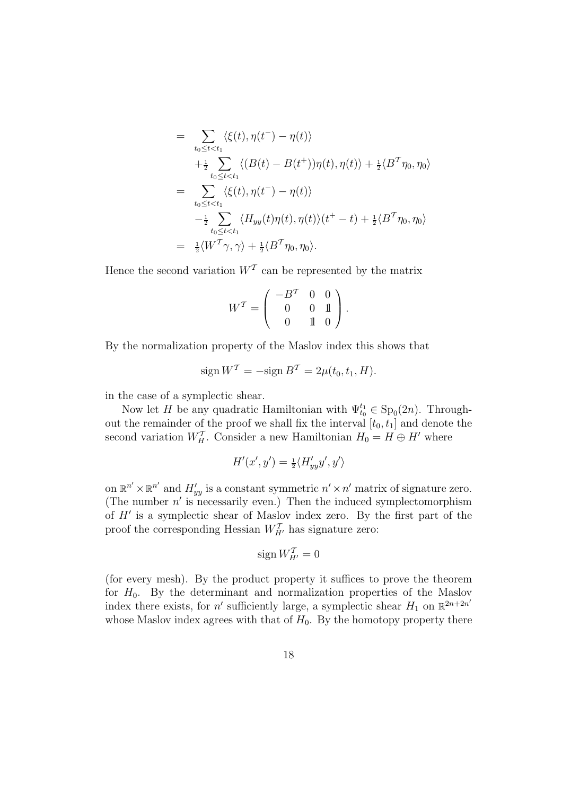$$
= \sum_{t_0 \leq t < t_1} \langle \xi(t), \eta(t^-) - \eta(t) \rangle
$$
\n
$$
+ \frac{1}{2} \sum_{t_0 \leq t < t_1} \langle (B(t) - B(t^+)) \eta(t), \eta(t) \rangle + \frac{1}{2} \langle B^T \eta_0, \eta_0 \rangle
$$
\n
$$
= \sum_{t_0 \leq t < t_1} \langle \xi(t), \eta(t^-) - \eta(t) \rangle
$$
\n
$$
- \frac{1}{2} \sum_{t_0 \leq t < t_1} \langle H_{yy}(t) \eta(t), \eta(t) \rangle (t^+ - t) + \frac{1}{2} \langle B^T \eta_0, \eta_0 \rangle
$$
\n
$$
= \frac{1}{2} \langle W^T \gamma, \gamma \rangle + \frac{1}{2} \langle B^T \eta_0, \eta_0 \rangle.
$$

Hence the second variation  $W<sup>T</sup>$  can be represented by the matrix

$$
W^T = \left( \begin{array}{ccc} -B^T & 0 & 0 \\ 0 & 0 & 1 \\ 0 & 1 & 0 \end{array} \right).
$$

By the normalization property of the Maslov index this shows that

$$
\operatorname{sign} W^T = -\operatorname{sign} B^T = 2\mu(t_0, t_1, H).
$$

in the case of a symplectic shear.

Now let H be any quadratic Hamiltonian with  $\Psi_{t_0}^{t_1} \in \mathrm{Sp}_0(2n)$ . Throughout the remainder of the proof we shall fix the interval  $[t_0, t_1]$  and denote the second variation  $W_H^T$ . Consider a new Hamiltonian  $H_0 = H \oplus H'$  where

$$
H'(x',y') = \frac{1}{2} \langle H'_{yy} y', y' \rangle
$$

on  $\mathbb{R}^{n'} \times \mathbb{R}^{n'}$  and  $H'_{yy}$  is a constant symmetric  $n' \times n'$  matrix of signature zero. (The number  $n'$  is necessarily even.) Then the induced symplectomorphism of H′ is a symplectic shear of Maslov index zero. By the first part of the proof the corresponding Hessian  $W_{H'}^T$  has signature zero:

$$
\operatorname{sign} W_{H'}^{\mathcal{T}} = 0
$$

(for every mesh). By the product property it suffices to prove the theorem for  $H_0$ . By the determinant and normalization properties of the Maslov index there exists, for  $n'$  sufficiently large, a symplectic shear  $H_1$  on  $\mathbb{R}^{2n+2n'}$ whose Maslov index agrees with that of  $H_0$ . By the homotopy property there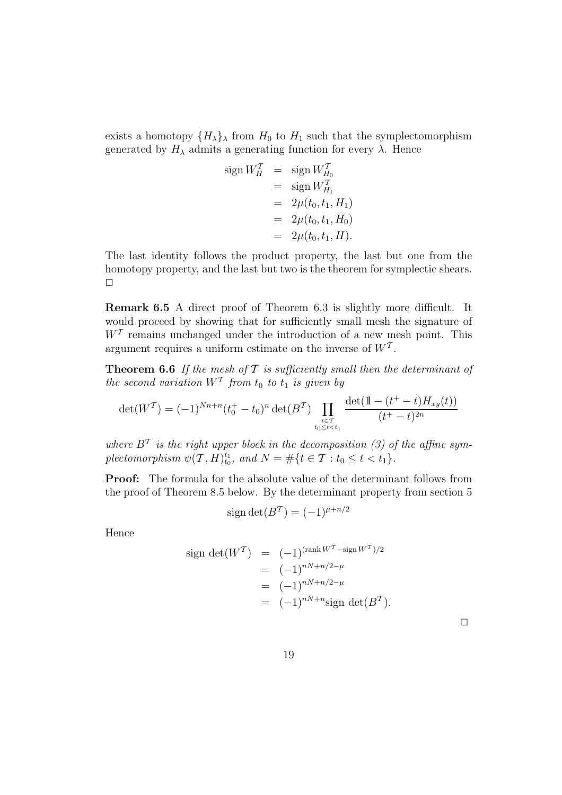exists a homotopy  $\{H_{\lambda}\}\$  from  $H_0$  to  $H_1$  such that the symplectomorphism generated by  $H_{\lambda}$  admits a generating function for every  $\lambda$ . Hence

sign 
$$
W_H^T
$$
 = sign  $W_{H_0}^T$   
\n= sign  $W_{H_1}^T$   
\n= 2μ(t<sub>0</sub>, t<sub>1</sub>, H<sub>1</sub>)  
\n= 2μ(t<sub>0</sub>, t<sub>1</sub>, H<sub>0</sub>)  
\n= 2μ(t<sub>0</sub>, t<sub>1</sub>, H<sub>0</sub>)

The last identity follows the product property, the last but one from the homotopy property, and the last but two is the theorem for symplectic shears.  $\Box$ 

Remark 6.5 A direct proof of Theorem 6.3 is slightly more difficult. It would proceed by showing that for sufficiently small mesh the signature of  $W<sup>T</sup>$  remains unchanged under the introduction of a new mesh point. This argument requires a uniform estimate on the inverse of  $W<sup>T</sup>$ .

**Theorem 6.6** If the mesh of  $\mathcal T$  is sufficiently small then the determinant of the second variation  $W<sup>T</sup>$  from  $t_0$  to  $t_1$  is given by

$$
\det(W^{\mathcal{T}}) = (-1)^{Nn+n} (t_0^+ - t_0)^n \det(B^{\mathcal{T}}) \prod_{\substack{t \in \mathcal{T} \\ t_0 \le t < t_1}} \frac{\det(\mathbb{1} - (t^+ - t)H_{xy}(t))}{(t^+ - t)^{2n}}
$$

where  $B<sup>T</sup>$  is the right upper block in the decomposition (3) of the affine symplectomorphism  $\psi(\mathcal{T}, H)_{t_0}^{t_1}$ , and  $N = \#\{t \in \mathcal{T} : t_0 \le t < t_1\}.$ 

Proof: The formula for the absolute value of the determinant follows from the proof of Theorem 8.5 below. By the determinant property from section 5

$$
sign \det(B^T) = (-1)^{\mu + n/2}
$$

Hence

sign det(
$$
W^T
$$
) =  $(-1)^{(\text{rank } W^T - \text{sign } W^T)/2}$   
\n=  $(-1)^{nN + n/2 - \mu}$   
\n=  $(-1)^{nN + n/2 - \mu}$   
\n=  $(-1)^{nN + n} \text{sign det}(B^T)$ .

| ___ |  |  |  |
|-----|--|--|--|
|     |  |  |  |
|     |  |  |  |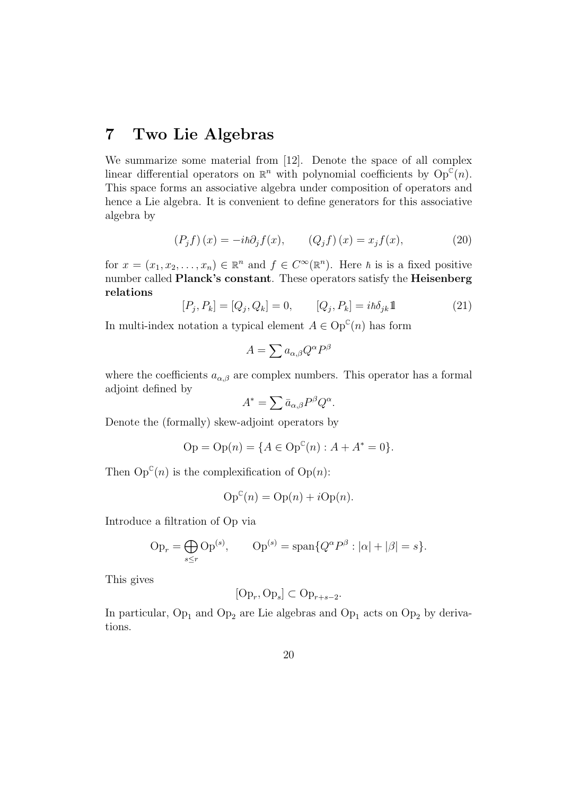#### 7 Two Lie Algebras

We summarize some material from [12]. Denote the space of all complex linear differential operators on  $\mathbb{R}^n$  with polynomial coefficients by  $\text{Op}^{\mathbb{C}}(n)$ . This space forms an associative algebra under composition of operators and hence a Lie algebra. It is convenient to define generators for this associative algebra by

$$
(P_j f)(x) = -i\hbar \partial_j f(x), \qquad (Q_j f)(x) = x_j f(x), \tag{20}
$$

for  $x = (x_1, x_2, \dots, x_n) \in \mathbb{R}^n$  and  $f \in C^{\infty}(\mathbb{R}^n)$ . Here  $\hbar$  is is a fixed positive number called **Planck's constant**. These operators satisfy the **Heisenberg** relations

$$
[P_j, P_k] = [Q_j, Q_k] = 0, \qquad [Q_j, P_k] = i\hbar \delta_{jk} 1 \tag{21}
$$

In multi-index notation a typical element  $A \in \mathrm{Op}^{\mathbb{C}}(n)$  has form

$$
A=\sum a_{\alpha,\beta}Q^{\alpha}P^{\beta}
$$

where the coefficients  $a_{\alpha,\beta}$  are complex numbers. This operator has a formal adjoint defined by

$$
A^* = \sum \bar{a}_{\alpha,\beta} P^{\beta} Q^{\alpha}.
$$

Denote the (formally) skew-adjoint operators by

$$
Op = Op(n) = \{ A \in Op^{C}(n) : A + A^{*} = 0 \}.
$$

Then  $Op^{\mathbb{C}}(n)$  is the complexification of  $Op(n)$ :

$$
Op^{c}(n) = Op(n) + iOp(n).
$$

Introduce a filtration of Op via

$$
\text{Op}_r = \bigoplus_{s \le r} \text{Op}^{(s)}, \qquad \text{Op}^{(s)} = \text{span}\{Q^{\alpha}P^{\beta} : |\alpha| + |\beta| = s\}.
$$

This gives

$$
[Op_r, Op_s] \subset Op_{r+s-2}.
$$

In particular,  $Op_1$  and  $Op_2$  are Lie algebras and  $Op_1$  acts on  $Op_2$  by derivations.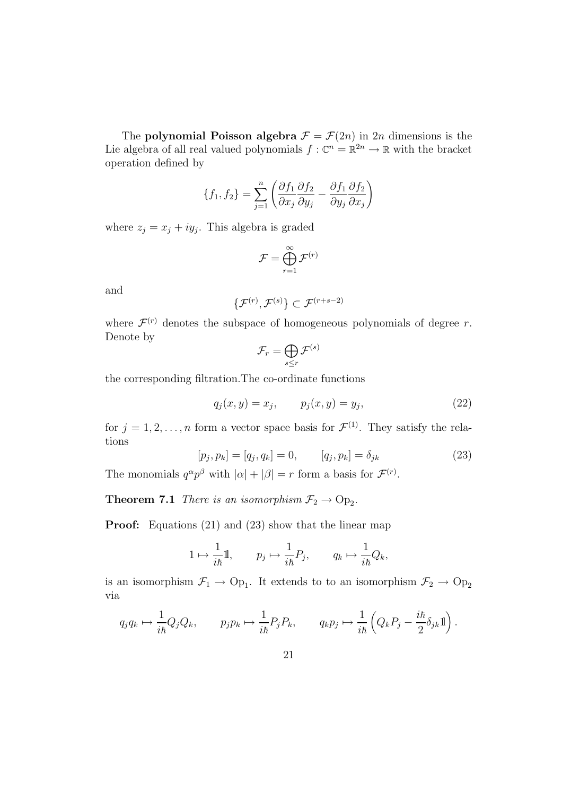The **polynomial Poisson algebra**  $\mathcal{F} = \mathcal{F}(2n)$  in 2n dimensions is the Lie algebra of all real valued polynomials  $f: \mathbb{C}^n = \mathbb{R}^{2n} \to \mathbb{R}$  with the bracket operation defined by

$$
\{f_1, f_2\} = \sum_{j=1}^n \left( \frac{\partial f_1}{\partial x_j} \frac{\partial f_2}{\partial y_j} - \frac{\partial f_1}{\partial y_j} \frac{\partial f_2}{\partial x_j} \right)
$$

where  $z_j = x_j + iy_j$ . This algebra is graded

$$
\mathcal{F} = \bigoplus_{r=1}^{\infty} \mathcal{F}^{(r)}
$$

and

$$
\{\mathcal{F}^{(r)}, \mathcal{F}^{(s)}\} \subset \mathcal{F}^{(r+s-2)}
$$

where  $\mathcal{F}^{(r)}$  denotes the subspace of homogeneous polynomials of degree r. Denote by

$$
\mathcal{F}_r = \bigoplus_{s \leq r} \mathcal{F}^{(s)}
$$

the corresponding filtration.The co-ordinate functions

$$
q_j(x, y) = x_j, \t p_j(x, y) = y_j,
$$
\t(22)

for  $j = 1, 2, ..., n$  form a vector space basis for  $\mathcal{F}^{(1)}$ . They satisfy the relations

$$
[p_j, p_k] = [q_j, q_k] = 0, \qquad [q_j, p_k] = \delta_{jk}
$$
 (23)

The monomials  $q^{\alpha}p^{\beta}$  with  $|\alpha| + |\beta| = r$  form a basis for  $\mathcal{F}^{(r)}$ .

**Theorem 7.1** There is an isomorphism  $\mathcal{F}_2 \to \text{Op}_2$ .

**Proof:** Equations (21) and (23) show that the linear map

$$
1\mapsto \frac{1}{i\hbar}\mathbb{1},\qquad p_j\mapsto \frac{1}{i\hbar}P_j,\qquad q_k\mapsto \frac{1}{i\hbar}Q_k,
$$

is an isomorphism  $\mathcal{F}_1 \to \text{Op}_1$ . It extends to to an isomorphism  $\mathcal{F}_2 \to \text{Op}_2$ via

$$
q_j q_k \mapsto \frac{1}{i\hbar} Q_j Q_k, \qquad p_j p_k \mapsto \frac{1}{i\hbar} P_j P_k, \qquad q_k p_j \mapsto \frac{1}{i\hbar} \left( Q_k P_j - \frac{i\hbar}{2} \delta_{jk} \mathbb{1} \right).
$$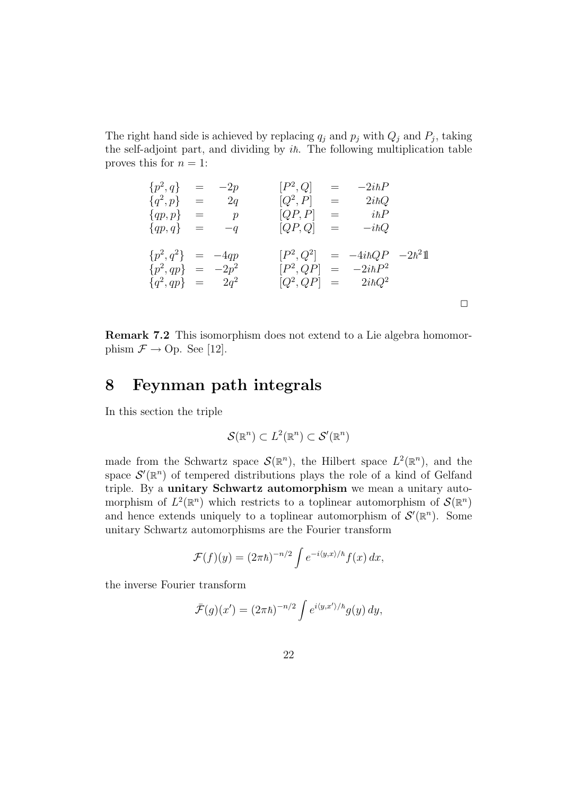The right hand side is achieved by replacing  $q_j$  and  $p_j$  with  $Q_j$  and  $P_j$ , taking the self-adjoint part, and dividing by  $i\hbar$ . The following multiplication table proves this for  $n = 1$ :

$$
{p^2, q} = -2p
$$
  
\n
$$
{q^2, p} = 2q
$$
  
\n
$$
{q^2, p} = p
$$
  
\n
$$
{q^2, p} = i\hbar Q
$$
  
\n
$$
{q^2, p} = i\hbar Q
$$
  
\n
$$
{q^2, q} = -q
$$
  
\n
$$
{q^2, q} = -4qp
$$
  
\n
$$
{p^2, q^2} = -4qp
$$
  
\n
$$
{p^2, q^2} = -4qp
$$
  
\n
$$
{p^2, q^2} = -2p^2
$$
  
\n
$$
{p^2, Q^2} = -4i\hbar QP
$$
  
\n
$$
{p^2, q} = -2\hbar^2
$$
  
\n
$$
{p^2, Q^2} = -4i\hbar QP
$$
  
\n
$$
{p^2, q} = -2i\hbar P^2
$$
  
\n
$$
{q^2, qp} = 2q^2
$$
  
\n
$$
{Q^2, QP} = 2i\hbar Q^2
$$

 $\Box$ 

Remark 7.2 This isomorphism does not extend to a Lie algebra homomorphism  $\mathcal{F} \rightarrow$  Op. See [12].

#### 8 Feynman path integrals

In this section the triple

$$
\mathcal{S}(\mathbb{R}^n) \subset L^2(\mathbb{R}^n) \subset \mathcal{S}'(\mathbb{R}^n)
$$

made from the Schwartz space  $\mathcal{S}(\mathbb{R}^n)$ , the Hilbert space  $L^2(\mathbb{R}^n)$ , and the space  $\mathcal{S}'(\mathbb{R}^n)$  of tempered distributions plays the role of a kind of Gelfand triple. By a unitary Schwartz automorphism we mean a unitary automorphism of  $L^2(\mathbb{R}^n)$  which restricts to a toplinear automorphism of  $\mathcal{S}(\mathbb{R}^n)$ and hence extends uniquely to a toplinear automorphism of  $\mathcal{S}'(\mathbb{R}^n)$ . Some unitary Schwartz automorphisms are the Fourier transform

$$
\mathcal{F}(f)(y) = (2\pi\hbar)^{-n/2} \int e^{-i\langle y,x\rangle/\hbar} f(x) dx,
$$

the inverse Fourier transform

$$
\bar{\mathcal{F}}(g)(x') = (2\pi\hbar)^{-n/2} \int e^{i\langle y, x'\rangle/\hbar} g(y) \, dy,
$$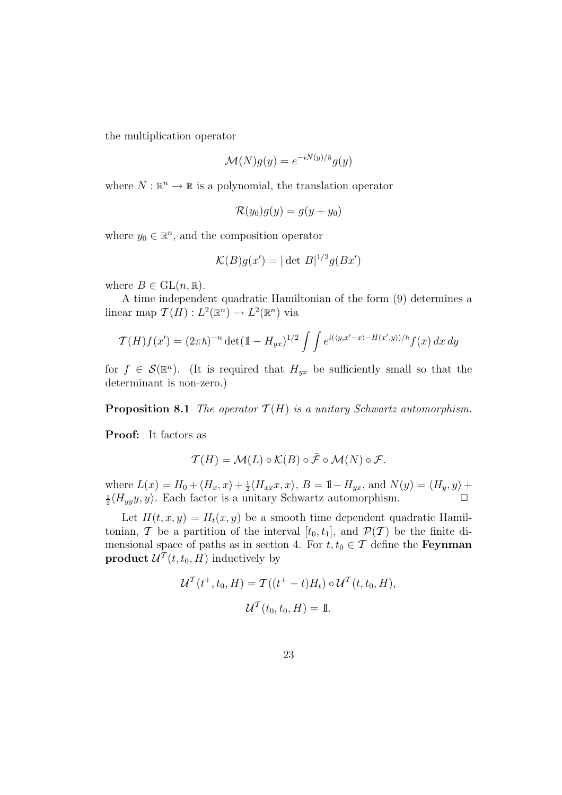the multiplication operator

$$
\mathcal{M}(N)g(y) = e^{-iN(y)/\hbar}g(y)
$$

where  $N : \mathbb{R}^n \to \mathbb{R}$  is a polynomial, the translation operator

$$
\mathcal{R}(y_0)g(y) = g(y + y_0)
$$

where  $y_0 \in \mathbb{R}^n$ , and the composition operator

$$
\mathcal{K}(B)g(x') = |\det B|^{1/2}g(Bx')
$$

where  $B \in GL(n, \mathbb{R})$ .

A time independent quadratic Hamiltonian of the form (9) determines a linear map  $\mathcal{T}(H) : L^2(\mathbb{R}^n) \to L^2(\mathbb{R}^n)$  via

$$
\mathcal{T}(H)f(x') = (2\pi\hbar)^{-n} \det(\mathbb{1} - H_{yx})^{1/2} \int \int e^{i(\langle y, x' - x \rangle - H(x', y))/\hbar} f(x) dx dy
$$

for  $f \in \mathcal{S}(\mathbb{R}^n)$ . (It is required that  $H_{yx}$  be sufficiently small so that the determinant is non-zero.)

**Proposition 8.1** The operator  $\mathcal{T}(H)$  is a unitary Schwartz automorphism.

Proof: It factors as

$$
\mathcal{T}(H) = \mathcal{M}(L) \circ \mathcal{K}(B) \circ \bar{\mathcal{F}} \circ \mathcal{M}(N) \circ \mathcal{F}.
$$

where  $L(x) = H_0 + \langle H_x, x \rangle + \frac{1}{2} \langle H_{xx}x, x \rangle$ ,  $B = 1 - H_{yx}$ , and  $N(y) = \langle H_y, y \rangle +$  $\frac{1}{2}\langle H_{yy}y, y\rangle$ . Each factor is a unitary Schwartz automorphism.

Let  $H(t, x, y) = H_t(x, y)$  be a smooth time dependent quadratic Hamiltonian, T be a partition of the interval  $[t_0, t_1]$ , and  $\mathcal{P}(\mathcal{T})$  be the finite dimensional space of paths as in section 4. For  $t, t_0 \in \mathcal{T}$  define the **Feynman product**  $\mathcal{U}^T(t, t_0, H)$  inductively by

$$
\mathcal{U}^{\mathcal{T}}(t^+, t_0, H) = \mathcal{T}((t^+ - t)H_t) \circ \mathcal{U}^{\mathcal{T}}(t, t_0, H),
$$
  

$$
\mathcal{U}^{\mathcal{T}}(t_0, t_0, H) = \mathbb{1}.
$$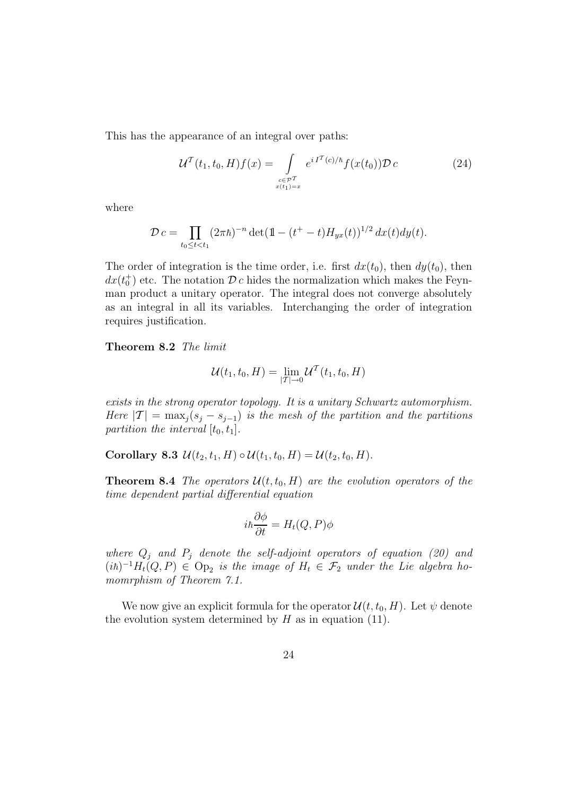This has the appearance of an integral over paths:

$$
\mathcal{U}^{T}(t_{1}, t_{0}, H)f(x) = \int_{\substack{c \in \mathcal{P}^{T} \\ x(t_{1}) = x}} e^{i I^{T}(c)/\hbar} f(x(t_{0})) \mathcal{D} c \qquad (24)
$$

where

$$
\mathcal{D} c = \prod_{t_0 \le t < t_1} (2\pi\hbar)^{-n} \det(\mathbb{1} - (t^+ - t)H_{yx}(t))^{1/2} dx(t) dy(t).
$$

The order of integration is the time order, i.e. first  $dx(t_0)$ , then  $dy(t_0)$ , then  $dx(t_0^+)$  etc. The notation  $\mathcal{D} c$  hides the normalization which makes the Feynman product a unitary operator. The integral does not converge absolutely as an integral in all its variables. Interchanging the order of integration requires justification.

Theorem 8.2 The limit

$$
\mathcal{U}(t_1, t_0, H) = \lim_{|T| \to 0} \mathcal{U}^T(t_1, t_0, H)
$$

exists in the strong operator topology. It is a unitary Schwartz automorphism. Here  $|T| = \max_i (s_i - s_{i-1})$  is the mesh of the partition and the partitions partition the interval  $[t_0, t_1]$ .

Corollary 8.3  $\mathcal{U}(t_2, t_1, H) \circ \mathcal{U}(t_1, t_0, H) = \mathcal{U}(t_2, t_0, H)$ .

**Theorem 8.4** The operators  $\mathcal{U}(t, t_0, H)$  are the evolution operators of the time dependent partial differential equation

$$
i\hbar \frac{\partial \phi}{\partial t} = H_t(Q, P)\phi
$$

where  $Q_i$  and  $P_j$  denote the self-adjoint operators of equation (20) and  $(i\hbar)^{-1}H_t(Q, P) \in \text{Op}_2$  is the image of  $H_t \in \mathcal{F}_2$  under the Lie algebra homomrphism of Theorem 7.1.

We now give an explicit formula for the operator  $\mathcal{U}(t, t_0, H)$ . Let  $\psi$  denote the evolution system determined by  $H$  as in equation (11).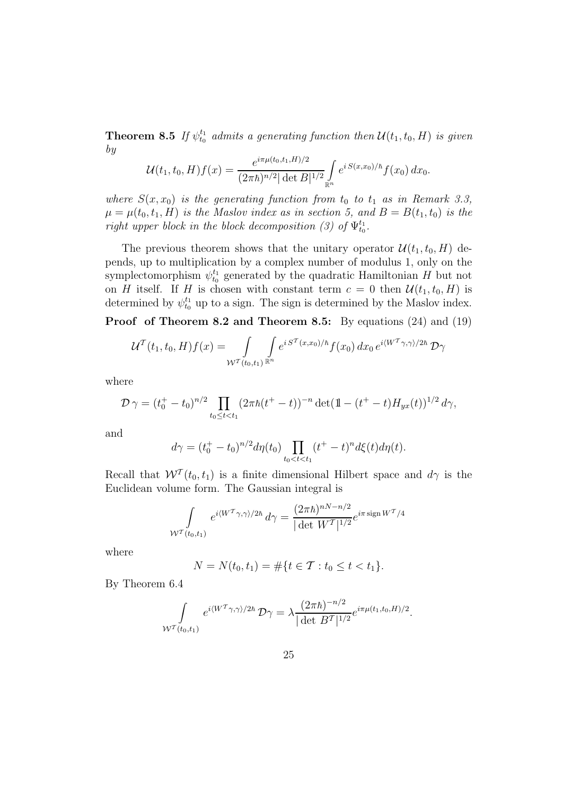**Theorem 8.5** If  $\psi_{t_0}^{t_1}$  admits a generating function then  $\mathcal{U}(t_1, t_0, H)$  is given by

$$
\mathcal{U}(t_1, t_0, H) f(x) = \frac{e^{i\pi\mu(t_0, t_1, H)/2}}{(2\pi\hbar)^{n/2} |\det B|^{1/2}} \int_{\mathbb{R}^n} e^{i S(x, x_0)/\hbar} f(x_0) dx_0.
$$

where  $S(x, x_0)$  is the generating function from  $t_0$  to  $t_1$  as in Remark 3.3,  $\mu = \mu(t_0, t_1, H)$  is the Maslov index as in section 5, and  $B = B(t_1, t_0)$  is the right upper block in the block decomposition (3) of  $\Psi_{t_0}^{t_1}$ .

The previous theorem shows that the unitary operator  $\mathcal{U}(t_1, t_0, H)$  depends, up to multiplication by a complex number of modulus 1, only on the symplectomorphism  $\psi_{t_0}^{t_1}$  generated by the quadratic Hamiltonian H but not on H itself. If H is chosen with constant term  $c = 0$  then  $\mathcal{U}(t_1, t_0, H)$  is determined by  $\psi_{t_0}^{t_1}$  up to a sign. The sign is determined by the Maslov index.

Proof of Theorem 8.2 and Theorem 8.5: By equations (24) and (19)

$$
\mathcal{U}^{\mathcal{T}}(t_1, t_0, H) f(x) = \int_{\mathcal{W}^{\mathcal{T}}(t_0, t_1)} \int_{\mathbb{R}^n} e^{i S^{\mathcal{T}}(x, x_0)/\hbar} f(x_0) dx_0 e^{i \langle W^{\mathcal{T}} \gamma, \gamma \rangle / 2\hbar} \mathcal{D} \gamma
$$

where

$$
\mathcal{D}_{\gamma} = (t_0^+ - t_0)^{n/2} \prod_{t_0 \le t < t_1} (2\pi \hbar (t^+ - t))^{-n} \det(\mathbb{1} - (t^+ - t)H_{yx}(t))^{1/2} d\gamma,
$$

and

$$
d\gamma = (t_0^+ - t_0)^{n/2} d\eta(t_0) \prod_{t_0 < t < t_1} (t^+ - t)^n d\xi(t) d\eta(t).
$$

Recall that  $W^{\mathcal{T}}(t_0, t_1)$  is a finite dimensional Hilbert space and  $d\gamma$  is the Euclidean volume form. The Gaussian integral is

$$
\int_{\mathcal{W}^{\mathcal{T}}(t_0,t_1)} e^{i \langle W^{\mathcal{T}} \gamma,\gamma \rangle/2\hbar} d\gamma = \frac{(2\pi \hbar)^{nN-n/2}}{|\det W^{\mathcal{T}}|^{1/2}} e^{i \pi \operatorname{sign} W^{\mathcal{T}}/4}
$$

where

$$
N = N(t_0, t_1) = \#\{t \in \mathcal{T} : t_0 \le t < t_1\}.
$$

By Theorem 6.4

$$
\int_{\mathcal{W}^{\mathcal{T}}(t_0,t_1)} e^{i\langle W^{\mathcal{T}}\gamma,\gamma\rangle/2\hbar} \mathcal{D}\gamma = \lambda \frac{(2\pi\hbar)^{-n/2}}{|\det B^{\mathcal{T}}|^{1/2}} e^{i\pi\mu(t_1,t_0,H)/2}.
$$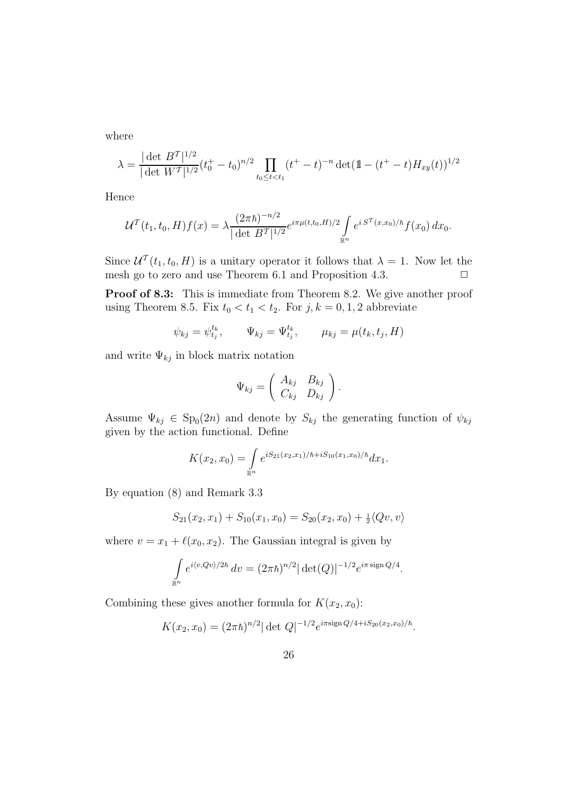where

$$
\lambda = \frac{|\det B^T|^{1/2}}{|\det W^T|^{1/2}} (t_0^+ - t_0)^{n/2} \prod_{t_0 \le t < t_1} (t^+ - t)^{-n} \det(\mathbb{1} - (t^+ - t) H_{xy}(t))^{1/2}
$$

Hence

$$
\mathcal{U}^{\mathcal{T}}(t_1, t_0, H) f(x) = \lambda \frac{(2\pi\hbar)^{-n/2}}{|\det B^{\mathcal{T}}|^{1/2}} e^{i\pi\mu(t, t_0, H)/2} \int_{\mathbb{R}^n} e^{i S^{\mathcal{T}}(x, x_0)/\hbar} f(x_0) dx_0.
$$

Since  $\mathcal{U}^{\mathcal{T}}(t_1,t_0,H)$  is a unitary operator it follows that  $\lambda=1$ . Now let the mesh go to zero and use Theorem 6.1 and Proposition 4.3.  $\Box$ 

Proof of 8.3: This is immediate from Theorem 8.2. We give another proof using Theorem 8.5. Fix  $t_0 < t_1 < t_2$ . For  $j, k = 0, 1, 2$  abbreviate

$$
\psi_{kj} = \psi_{t_j}^{t_k}, \qquad \Psi_{kj} = \Psi_{t_j}^{t_k}, \qquad \mu_{kj} = \mu(t_k, t_j, H)
$$

and write  $\Psi_{kj}$  in block matrix notation

$$
\Psi_{kj} = \left( \begin{array}{cc} A_{kj} & B_{kj} \\ C_{kj} & D_{kj} \end{array} \right).
$$

Assume  $\Psi_{kj} \in Sp_0(2n)$  and denote by  $S_{kj}$  the generating function of  $\psi_{kj}$ given by the action functional. Define

$$
K(x_2, x_0) = \int_{\mathbb{R}^n} e^{iS_{21}(x_2, x_1)/\hbar + iS_{10}(x_1, x_0)/\hbar} dx_1.
$$

By equation (8) and Remark 3.3

$$
S_{21}(x_2, x_1) + S_{10}(x_1, x_0) = S_{20}(x_2, x_0) + \frac{1}{2} \langle Qv, v \rangle
$$

where  $v = x_1 + \ell(x_0, x_2)$ . The Gaussian integral is given by

$$
\int_{\mathbb{R}^n} e^{i \langle v, Qv \rangle / 2\hbar} dv = (2\pi \hbar)^{n/2} |\det(Q)|^{-1/2} e^{i \pi \operatorname{sign} Q/4}.
$$

Combining these gives another formula for  $K(x_2, x_0)$ :

$$
K(x_2, x_0) = (2\pi\hbar)^{n/2} |\det Q|^{-1/2} e^{i\pi \sin Q/4 + iS_{20}(x_2, x_0)/\hbar}.
$$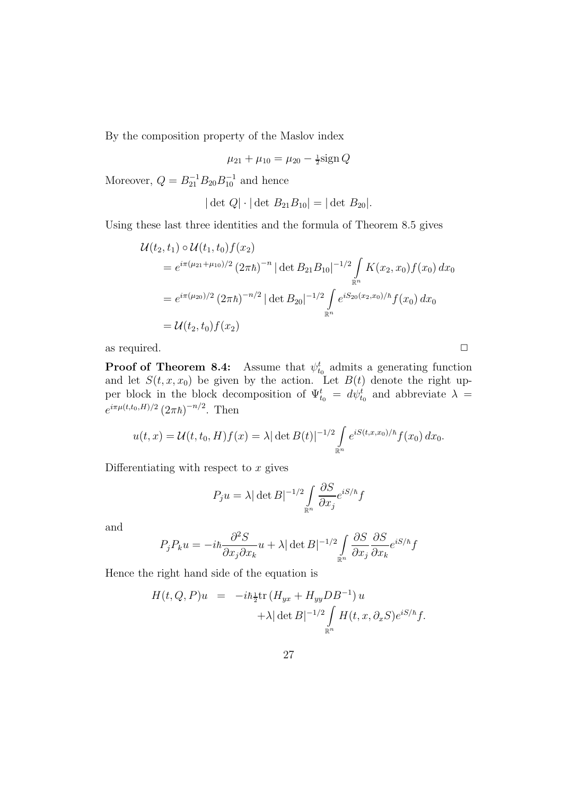By the composition property of the Maslov index

$$
\mu_{21} + \mu_{10} = \mu_{20} - \frac{1}{2}\text{sign}\,Q
$$

Moreover,  $Q = B_{21}^{-1} B_{20} B_{10}^{-1}$  and hence

$$
|\det Q| \cdot |\det B_{21} B_{10}| = |\det B_{20}|.
$$

Using these last three identities and the formula of Theorem 8.5 gives

$$
\mathcal{U}(t_2, t_1) \circ \mathcal{U}(t_1, t_0) f(x_2)
$$
  
=  $e^{i\pi(\mu_{21} + \mu_{10})/2} (2\pi\hbar)^{-n} |\det B_{21} B_{10}|^{-1/2} \int_{\mathbb{R}^n} K(x_2, x_0) f(x_0) dx_0$   
=  $e^{i\pi(\mu_{20})/2} (2\pi\hbar)^{-n/2} |\det B_{20}|^{-1/2} \int_{\mathbb{R}^n} e^{iS_{20}(x_2, x_0)/\hbar} f(x_0) dx_0$   
=  $\mathcal{U}(t_2, t_0) f(x_2)$ 

as required.  $\Box$ 

**Proof of Theorem 8.4:** Assume that  $\psi_{t_0}^t$  admits a generating function and let  $S(t, x, x_0)$  be given by the action. Let  $B(t)$  denote the right upper block in the block decomposition of  $\Psi_{t_0}^t = d\psi_{t_0}^t$  and abbreviate  $\lambda =$  $e^{i\pi\mu(t,t_0,H)/2} (2\pi\hbar)^{-n/2}$ . Then

$$
u(t,x) = \mathcal{U}(t,t_0,H)f(x) = \lambda |\det B(t)|^{-1/2} \int_{\mathbb{R}^n} e^{iS(t,x,x_0)/\hbar} f(x_0) dx_0.
$$

Differentiating with respect to  $x$  gives

$$
P_j u = \lambda |\det B|^{-1/2} \int_{\mathbb{R}^n} \frac{\partial S}{\partial x_j} e^{iS/\hbar} f
$$

and

$$
P_j P_k u = -i\hbar \frac{\partial^2 S}{\partial x_j \partial x_k} u + \lambda |\det B|^{-1/2} \int_{\mathbb{R}^n} \frac{\partial S}{\partial x_j} \frac{\partial S}{\partial x_k} e^{iS/\hbar} f
$$

Hence the right hand side of the equation is

$$
H(t, Q, P)u = -i\hbar \frac{1}{2} \text{tr} \left( H_{yx} + H_{yy} D B^{-1} \right) u
$$
  
+  $\lambda |\det B|^{-1/2} \int_{\mathbb{R}^n} H(t, x, \partial_x S) e^{iS/\hbar} f.$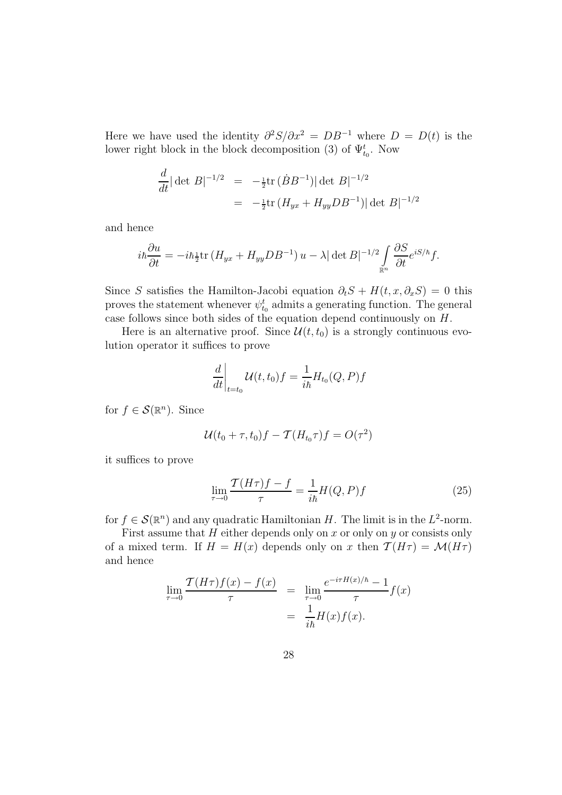Here we have used the identity  $\partial^2 S/\partial x^2 = DB^{-1}$  where  $D = D(t)$  is the lower right block in the block decomposition (3) of  $\Psi_{t_0}^t$ . Now

$$
\frac{d}{dt} |\det B|^{-1/2} = -\frac{1}{2} \text{tr} (\dot{B} B^{-1}) |\det B|^{-1/2}
$$
  
=  $-\frac{1}{2} \text{tr} (H_{yx} + H_{yy} DB^{-1}) |\det B|^{-1/2}$ 

and hence

$$
i\hbar\frac{\partial u}{\partial t} = -i\hbar \tfrac{1}{2}\text{tr}\left(H_{yx} + H_{yy}DB^{-1}\right)u - \lambda |\det B|^{-1/2} \int\limits_{\mathbb{R}^n} \frac{\partial S}{\partial t} e^{iS/\hbar} f.
$$

Since S satisfies the Hamilton-Jacobi equation  $\partial_t S + H(t, x, \partial_x S) = 0$  this proves the statement whenever  $\psi_{t_0}^t$  admits a generating function. The general case follows since both sides of the equation depend continuously on  $H$ .

Here is an alternative proof. Since  $\mathcal{U}(t, t_0)$  is a strongly continuous evolution operator it suffices to prove

$$
\left. \frac{d}{dt} \right|_{t=t_0} \mathcal{U}(t, t_0) f = \frac{1}{i\hbar} H_{t_0}(Q, P) f
$$

for  $f \in \mathcal{S}(\mathbb{R}^n)$ . Since

$$
\mathcal{U}(t_0 + \tau, t_0)f - \mathcal{T}(H_{t_0}\tau)f = O(\tau^2)
$$

it suffices to prove

$$
\lim_{\tau \to 0} \frac{\mathcal{T}(H\tau)f - f}{\tau} = \frac{1}{i\hbar}H(Q, P)f\tag{25}
$$

for  $f \in \mathcal{S}(\mathbb{R}^n)$  and any quadratic Hamiltonian H. The limit is in the  $L^2$ -norm.

First assume that  $H$  either depends only on  $x$  or only on  $y$  or consists only of a mixed term. If  $H = H(x)$  depends only on x then  $\mathcal{T}(H\tau) = \mathcal{M}(H\tau)$ and hence

$$
\lim_{\tau \to 0} \frac{\mathcal{T}(H\tau)f(x) - f(x)}{\tau} = \lim_{\tau \to 0} \frac{e^{-i\tau H(x)/\hbar} - 1}{\tau} f(x)
$$

$$
= \frac{1}{i\hbar} H(x)f(x).
$$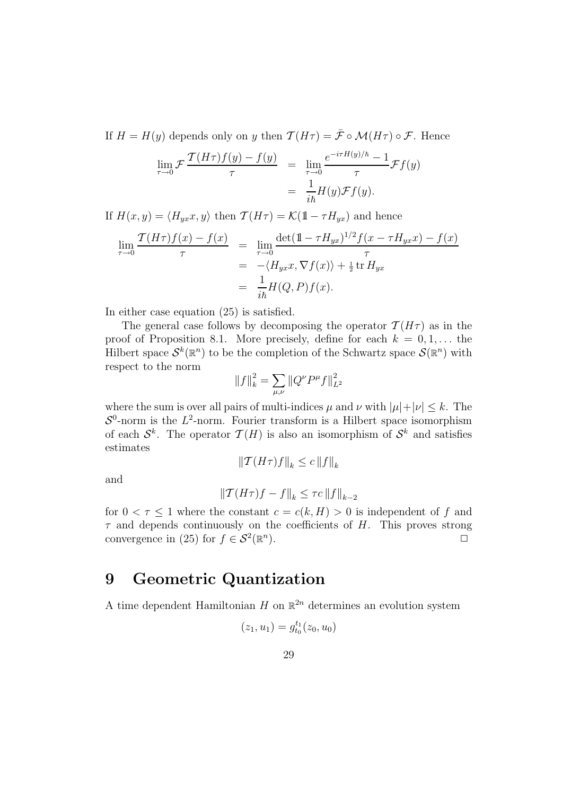If  $H = H(y)$  depends only on y then  $\mathcal{T}(H\tau) = \bar{\mathcal{F}} \circ \mathcal{M}(H\tau) \circ \mathcal{F}$ . Hence

$$
\lim_{\tau \to 0} \mathcal{F} \frac{\mathcal{T}(H\tau)f(y) - f(y)}{\tau} = \lim_{\tau \to 0} \frac{e^{-i\tau H(y)/\hbar} - 1}{\tau} \mathcal{F}f(y)
$$

$$
= \frac{1}{i\hbar}H(y)\mathcal{F}f(y).
$$

If  $H(x, y) = \langle H_{yx}x, y \rangle$  then  $\mathcal{T}(H\tau) = \mathcal{K}(1 - \tau H_{yx})$  and hence

$$
\lim_{\tau \to 0} \frac{\mathcal{T}(H\tau)f(x) - f(x)}{\tau} = \lim_{\tau \to 0} \frac{\det(\mathbb{1} - \tau H_{yx})^{1/2} f(x - \tau H_{yx}x) - f(x)}{\tau} \n= -\langle H_{yx}x, \nabla f(x) \rangle + \frac{1}{2} \operatorname{tr} H_{yx} \n= \frac{1}{i\hbar} H(Q, P) f(x).
$$

In either case equation (25) is satisfied.

The general case follows by decomposing the operator  $\mathcal{T}(H\tau)$  as in the proof of Proposition 8.1. More precisely, define for each  $k = 0, 1, \ldots$  the Hilbert space  $\mathcal{S}^k(\mathbb{R}^n)$  to be the completion of the Schwartz space  $\mathcal{S}(\mathbb{R}^n)$  with respect to the norm

$$
||f||_k^2 = \sum_{\mu,\nu} ||Q^{\nu}P^{\mu}f||_{L^2}^2
$$

where the sum is over all pairs of multi-indices  $\mu$  and  $\nu$  with  $|\mu|+|\nu| \leq k$ . The  $S^0$ -norm is the  $L^2$ -norm. Fourier transform is a Hilbert space isomorphism of each  $\mathcal{S}^k$ . The operator  $\mathcal{T}(H)$  is also an isomorphism of  $\mathcal{S}^k$  and satisfies estimates

$$
\|\mathcal{T}(H\tau)f\|_{k} \leq c\,\|f\|_{k}
$$

and

$$
\|\mathcal{T}(H\tau)f - f\|_{k} \le \tau c \, \|f\|_{k-2}
$$

for  $0 < \tau \leq 1$  where the constant  $c = c(k, H) > 0$  is independent of f and  $\tau$  and depends continuously on the coefficients of H. This proves strong convergence in (25) for  $f \in \mathcal{S}^2(\mathbb{R}^n)$ ).  $\qquad \qquad \Box$ 

### 9 Geometric Quantization

A time dependent Hamiltonian H on  $\mathbb{R}^{2n}$  determines an evolution system

$$
(z_1, u_1) = g_{t_0}^{t_1}(z_0, u_0)
$$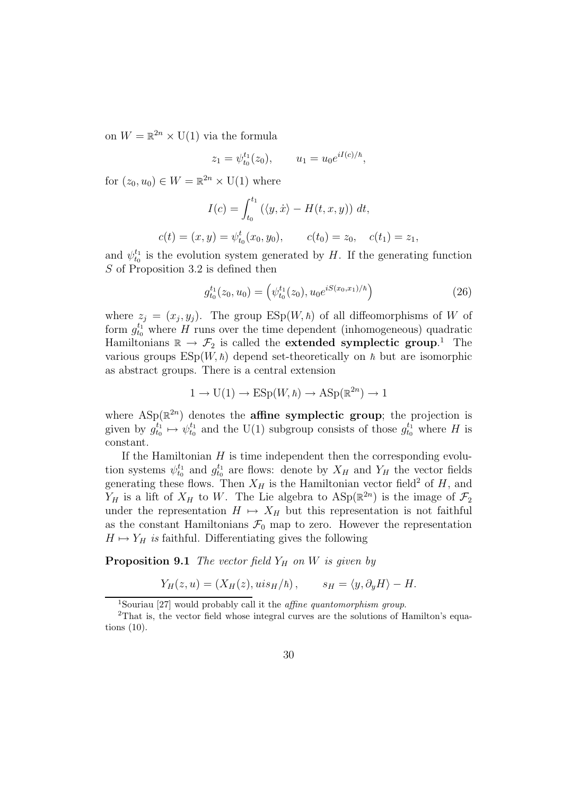on  $W = \mathbb{R}^{2n} \times U(1)$  via the formula

$$
z_1 = \psi_{t_0}^{t_1}(z_0), \qquad u_1 = u_0 e^{iI(c)/\hbar},
$$

for  $(z_0, u_0) \in W = \mathbb{R}^{2n} \times U(1)$  where

$$
I(c) = \int_{t_0}^{t_1} (\langle y, \dot{x} \rangle - H(t, x, y)) dt,
$$
  

$$
c(t) = (x, y) = \psi_{t_0}^t(x_0, y_0), \qquad c(t_0) = z_0, \quad c(t_1) = z_1,
$$

and  $\psi_{t_0}^{t_1}$  is the evolution system generated by H. If the generating function S of Proposition 3.2 is defined then

$$
g_{t_0}^{t_1}(z_0, u_0) = \left(\psi_{t_0}^{t_1}(z_0), u_0 e^{iS(x_0, x_1)/\hbar}\right) \tag{26}
$$

where  $z_j = (x_j, y_j)$ . The group  $\text{ESp}(W, \hbar)$  of all diffeomorphisms of W of form  $g_{t_0}^{t_1}$  where H runs over the time dependent (inhomogeneous) quadratic Hamiltonians  $\mathbb{R} \to \mathcal{F}_2$  is called the **extended symplectic group**.<sup>1</sup> The various groups  $\text{ESp}(W, \hbar)$  depend set-theoretically on  $\hbar$  but are isomorphic as abstract groups. There is a central extension

$$
1 \to U(1) \to \text{ESp}(W, \hbar) \to \text{ASp}(\mathbb{R}^{2n}) \to 1
$$

where  $\text{ASp}(\mathbb{R}^{2n})$  denotes the **affine symplectic group**; the projection is given by  $g_{t_0}^{t_1} \mapsto \psi_{t_0}^{t_1}$  and the U(1) subgroup consists of those  $g_{t_0}^{t_1}$  where H is constant.

If the Hamiltonian  $H$  is time independent then the corresponding evolution systems  $\psi_{t_0}^{t_1}$  and  $g_{t_0}^{t_1}$  are flows: denote by  $X_H$  and  $Y_H$  the vector fields generating these flows. Then  $X_H$  is the Hamiltonian vector field<sup>2</sup> of H, and  $Y_H$  is a lift of  $X_H$  to W. The Lie algebra to  $\text{ASp}(\mathbb{R}^{2n})$  is the image of  $\mathcal{F}_2$ under the representation  $H \mapsto X_H$  but this representation is not faithful as the constant Hamiltonians  $\mathcal{F}_0$  map to zero. However the representation  $H \mapsto Y_H$  is faithful. Differentiating gives the following

**Proposition 9.1** The vector field  $Y_H$  on W is given by

$$
Y_H(z, u) = (X_H(z), u i s_H / \hbar), \qquad s_H = \langle y, \partial_y H \rangle - H.
$$

<sup>&</sup>lt;sup>1</sup>Souriau [27] would probably call it the *affine quantomorphism group*.

<sup>2</sup>That is, the vector field whose integral curves are the solutions of Hamilton's equations (10).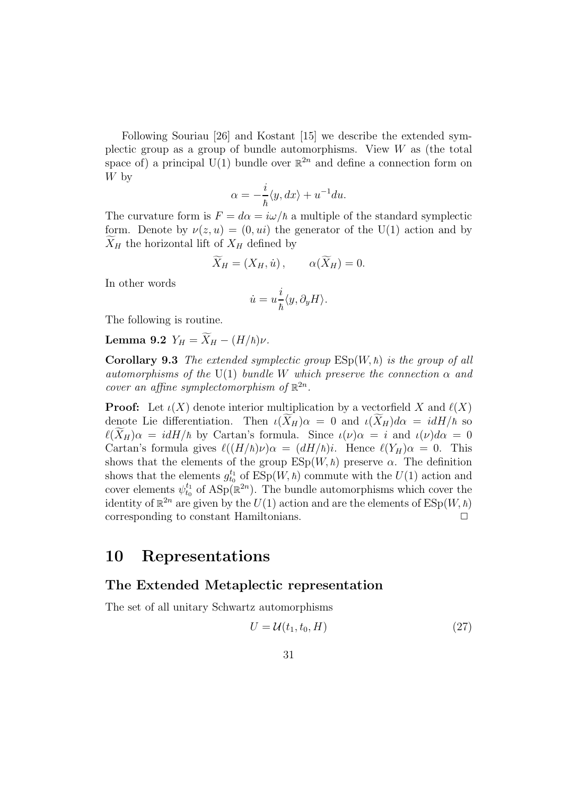Following Souriau [26] and Kostant [15] we describe the extended symplectic group as a group of bundle automorphisms. View  $W$  as (the total space of) a principal  $U(1)$  bundle over  $\mathbb{R}^{2n}$  and define a connection form on W by

$$
\alpha = -\frac{i}{\hbar} \langle y, dx \rangle + u^{-1} du.
$$

The curvature form is  $F = d\alpha = i\omega/\hbar$  a multiple of the standard symplectic form. Denote by  $\nu(z, u) = (0, u_i)$  the generator of the U(1) action and by  $X_H$  the horizontal lift of  $X_H$  defined by

$$
\widetilde{X}_H = (X_H, \dot{u}), \qquad \alpha(\widetilde{X}_H) = 0.
$$

In other words

$$
\dot{u} = u \frac{i}{\hbar} \langle y, \partial_y H \rangle.
$$

The following is routine.

**Lemma 9.2** 
$$
Y_H = \widetilde{X}_H - (H/\hbar)\nu
$$
.

**Corollary 9.3** The extended symplectic group  $ESp(W, \hbar)$  is the group of all automorphisms of the U(1) bundle W which preserve the connection  $\alpha$  and cover an affine symplectomorphism of  $\mathbb{R}^{2n}$ .

**Proof:** Let  $\iota(X)$  denote interior multiplication by a vectorfield X and  $\ell(X)$ denote Lie differentiation. Then  $\iota(\widetilde{X}_H)\alpha = 0$  and  $\iota(\widetilde{X}_H)d\alpha = idH/\hbar$  so  $\ell(\widetilde{X}_{H})\alpha = idH/\hbar$  by Cartan's formula. Since  $\iota(\nu)\alpha = i$  and  $\iota(\nu)d\alpha = 0$ Cartan's formula gives  $\ell((H/\hbar)\nu)\alpha = (dH/\hbar)i$ . Hence  $\ell(Y_H)\alpha = 0$ . This shows that the elements of the group  $ESp(W, \hbar)$  preserve  $\alpha$ . The definition shows that the elements  $g_{t_0}^{t_1}$  of  $\text{ESp}(W, \hbar)$  commute with the  $U(1)$  action and cover elements  $\psi_{t_0}^{t_1}$  of  $\text{ASp}(\mathbb{R}^{2n})$ . The bundle automorphisms which cover the identity of  $\mathbb{R}^{2n}$  are given by the  $U(1)$  action and are the elements of  $\text{ESp}(W, \hbar)$ corresponding to constant Hamiltonians.  $\Box$ 

#### 10 Representations

#### The Extended Metaplectic representation

The set of all unitary Schwartz automorphisms

$$
U = \mathcal{U}(t_1, t_0, H) \tag{27}
$$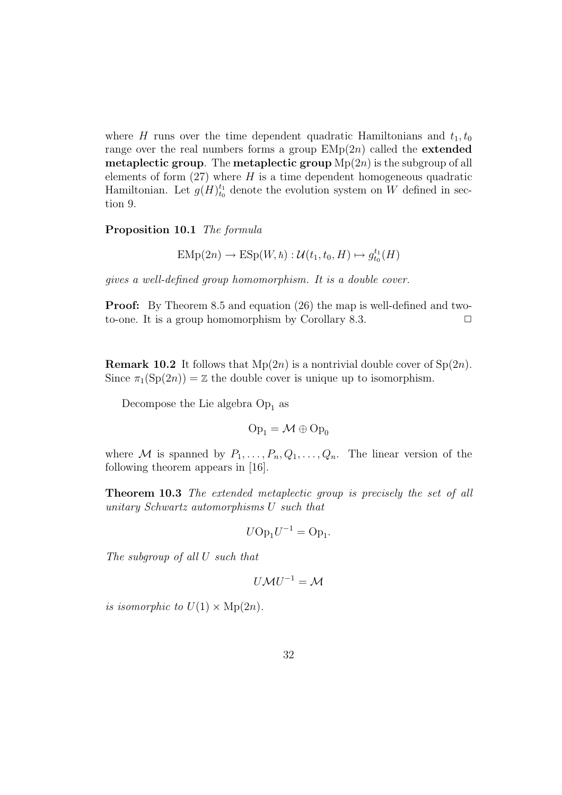where H runs over the time dependent quadratic Hamiltonians and  $t_1, t_0$ range over the real numbers forms a group  $EMp(2n)$  called the **extended metaplectic group.** The **metaplectic group**  $Mp(2n)$  is the subgroup of all elements of form  $(27)$  where H is a time dependent homogeneous quadratic Hamiltonian. Let  $g(H)_{t_0}^{t_1}$  denote the evolution system on W defined in section 9.

Proposition 10.1 The formula

$$
EMp(2n) \rightarrow ESp(W, \hbar) : \mathcal{U}(t_1, t_0, H) \mapsto g_{t_0}^{t_1}(H)
$$

gives a well-defined group homomorphism. It is a double cover.

Proof: By Theorem 8.5 and equation (26) the map is well-defined and twoto-one. It is a group homomorphism by Corollary 8.3.  $\Box$ 

**Remark 10.2** It follows that  $Mp(2n)$  is a nontrivial double cover of  $Sp(2n)$ . Since  $\pi_1(Sp(2n)) = \mathbb{Z}$  the double cover is unique up to isomorphism.

Decompose the Lie algebra  $Op<sub>1</sub>$  as

$$
\mathrm{Op}_1 = \mathcal{M} \oplus \mathrm{Op}_0
$$

where M is spanned by  $P_1, \ldots, P_n, Q_1, \ldots, Q_n$ . The linear version of the following theorem appears in [16].

Theorem 10.3 The extended metaplectic group is precisely the set of all unitary Schwartz automorphisms U such that

$$
U\mathrm{Op}_1U^{-1}=\mathrm{Op}_1.
$$

The subgroup of all U such that

$$
U\mathcal{M}U^{-1}=\mathcal{M}
$$

is isomorphic to  $U(1) \times \text{Mp}(2n)$ .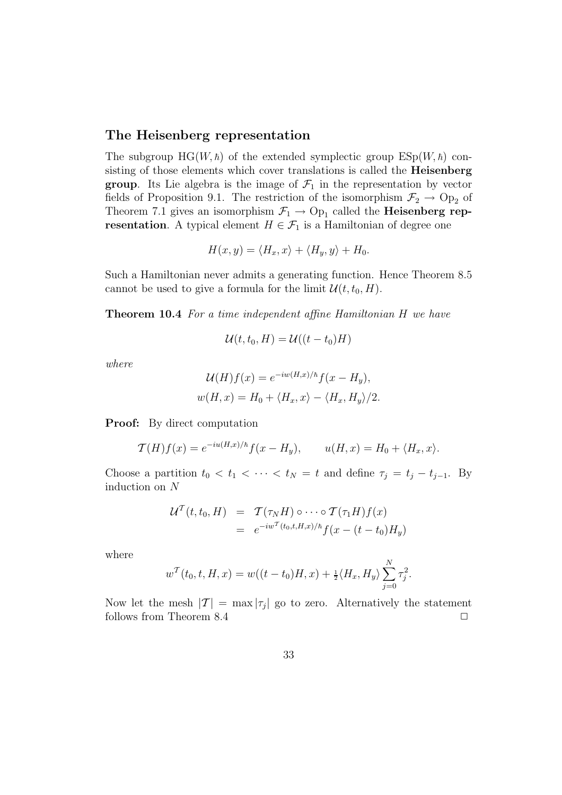#### The Heisenberg representation

The subgroup  $HG(W, \hbar)$  of the extended symplectic group  $ESp(W, \hbar)$  consisting of those elements which cover translations is called the **Heisenberg group**. Its Lie algebra is the image of  $\mathcal{F}_1$  in the representation by vector fields of Proposition 9.1. The restriction of the isomorphism  $\mathcal{F}_2 \rightarrow \text{Op}_2$  of Theorem 7.1 gives an isomorphism  $\mathcal{F}_1 \to \text{Op}_1$  called the **Heisenberg rep**resentation. A typical element  $H \in \mathcal{F}_1$  is a Hamiltonian of degree one

$$
H(x, y) = \langle H_x, x \rangle + \langle H_y, y \rangle + H_0.
$$

Such a Hamiltonian never admits a generating function. Hence Theorem 8.5 cannot be used to give a formula for the limit  $\mathcal{U}(t, t_0, H)$ .

Theorem 10.4 For a time independent affine Hamiltonian H we have

$$
\mathcal{U}(t,t_0,H)=\mathcal{U}((t-t_0)H)
$$

where

$$
\mathcal{U}(H)f(x) = e^{-iw(H,x)/\hbar} f(x - H_y),
$$
  

$$
w(H, x) = H_0 + \langle H_x, x \rangle - \langle H_x, H_y \rangle / 2.
$$

**Proof:** By direct computation

$$
\mathcal{T}(H)f(x) = e^{-iu(H,x)/\hbar}f(x - H_y), \qquad u(H,x) = H_0 + \langle H_x, x \rangle.
$$

Choose a partition  $t_0 < t_1 < \cdots < t_N = t$  and define  $\tau_j = t_j - t_{j-1}$ . By induction on N

$$
\mathcal{U}^{T}(t,t_{0},H) = \mathcal{T}(\tau_{N}H) \circ \cdots \circ \mathcal{T}(\tau_{1}H)f(x)
$$
  
= 
$$
e^{-iw^{T}(t_{0},t,H,x)/\hbar}f(x-(t-t_{0})H_{y})
$$

where

$$
w^{\mathcal{T}}(t_0, t, H, x) = w((t - t_0)H, x) + \frac{1}{2} \langle H_x, H_y \rangle \sum_{j=0}^{N} \tau_j^2.
$$

Now let the mesh  $|\mathcal{T}| = \max |\tau_j|$  go to zero. Alternatively the statement follows from Theorem 8.4  $\Box$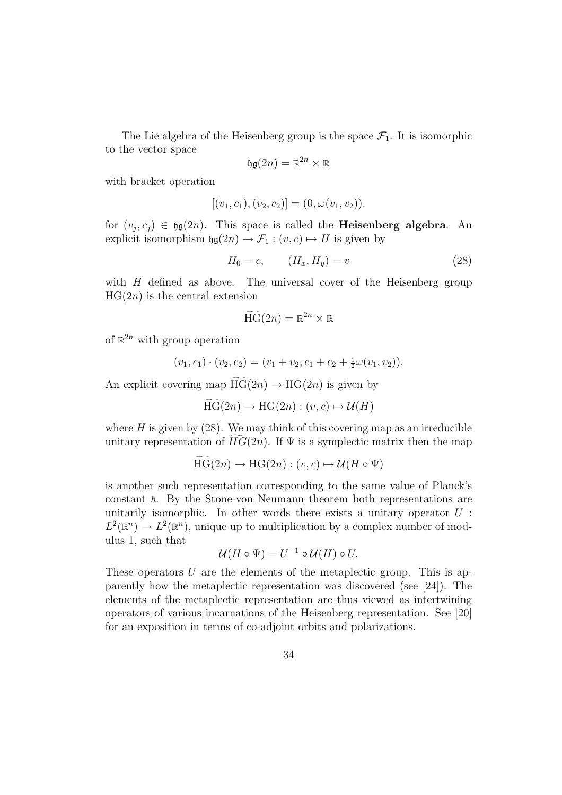The Lie algebra of the Heisenberg group is the space  $\mathcal{F}_1$ . It is isomorphic to the vector space

$$
\mathfrak{hg}(2n) = \mathbb{R}^{2n} \times \mathbb{R}
$$

with bracket operation

$$
[(v_1, c_1), (v_2, c_2)] = (0, \omega(v_1, v_2)).
$$

for  $(v_j, c_j) \in \mathfrak{hg}(2n)$ . This space is called the **Heisenberg algebra**. An explicit isomorphism  $\mathfrak{h}(\mathfrak{g}(2n) \to \mathcal{F}_1 : (v, c) \mapsto H$  is given by

$$
H_0 = c, \qquad (H_x, H_y) = v \tag{28}
$$

with  $H$  defined as above. The universal cover of the Heisenberg group  $HG(2n)$  is the central extension

$$
\widetilde{\text{HG}}(2n) = \mathbb{R}^{2n} \times \mathbb{R}
$$

of  $\mathbb{R}^{2n}$  with group operation

$$
(v_1, c_1) \cdot (v_2, c_2) = (v_1 + v_2, c_1 + c_2 + \frac{1}{2}\omega(v_1, v_2)).
$$

An explicit covering map  $HG(2n) \rightarrow HG(2n)$  is given by

$$
\widetilde{\text{HG}}(2n) \to \text{HG}(2n) : (v, c) \mapsto \mathcal{U}(H)
$$

where  $H$  is given by  $(28)$ . We may think of this covering map as an irreducible unitary representation of  $HG(2n)$ . If  $\Psi$  is a symplectic matrix then the map

$$
\text{HG}(2n) \to \text{HG}(2n) : (v, c) \mapsto \mathcal{U}(H \circ \Psi)
$$

is another such representation corresponding to the same value of Planck's constant  $\hbar$ . By the Stone-von Neumann theorem both representations are unitarily isomorphic. In other words there exists a unitary operator  $U$ :  $L^2(\mathbb{R}^n) \to L^2(\mathbb{R}^n)$ , unique up to multiplication by a complex number of modulus 1, such that

$$
\mathcal{U}(H \circ \Psi) = U^{-1} \circ \mathcal{U}(H) \circ U.
$$

These operators  $U$  are the elements of the metaplectic group. This is apparently how the metaplectic representation was discovered (see [24]). The elements of the metaplectic representation are thus viewed as intertwining operators of various incarnations of the Heisenberg representation. See [20] for an exposition in terms of co-adjoint orbits and polarizations.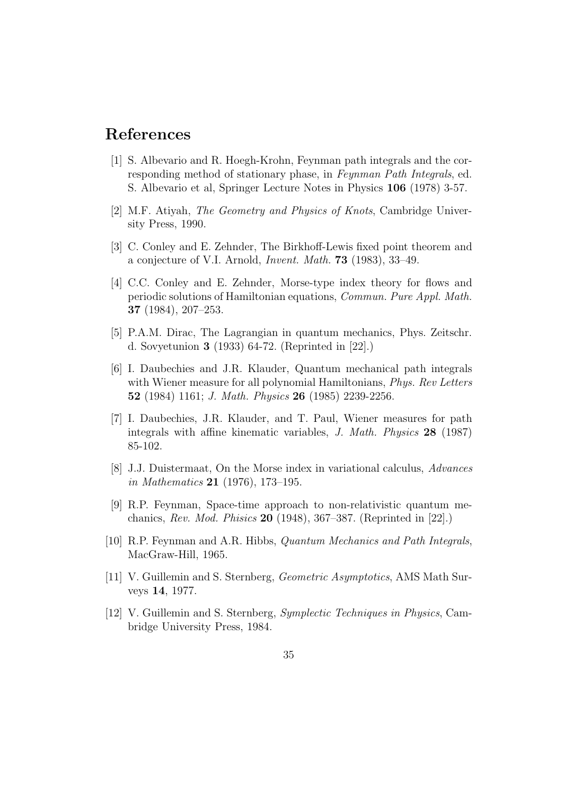#### References

- [1] S. Albevario and R. Hoegh-Krohn, Feynman path integrals and the corresponding method of stationary phase, in Feynman Path Integrals, ed. S. Albevario et al, Springer Lecture Notes in Physics 106 (1978) 3-57.
- [2] M.F. Atiyah, The Geometry and Physics of Knots, Cambridge University Press, 1990.
- [3] C. Conley and E. Zehnder, The Birkhoff-Lewis fixed point theorem and a conjecture of V.I. Arnold, Invent. Math. 73 (1983), 33–49.
- [4] C.C. Conley and E. Zehnder, Morse-type index theory for flows and periodic solutions of Hamiltonian equations, Commun. Pure Appl. Math. 37 (1984), 207–253.
- [5] P.A.M. Dirac, The Lagrangian in quantum mechanics, Phys. Zeitschr. d. Sovyetunion 3 (1933) 64-72. (Reprinted in [22].)
- [6] I. Daubechies and J.R. Klauder, Quantum mechanical path integrals with Wiener measure for all polynomial Hamiltonians, *Phys. Rev Letters* 52 (1984) 1161; J. Math. Physics 26 (1985) 2239-2256.
- [7] I. Daubechies, J.R. Klauder, and T. Paul, Wiener measures for path integrals with affine kinematic variables, J. Math. Physics 28 (1987) 85-102.
- [8] J.J. Duistermaat, On the Morse index in variational calculus, Advances in Mathematics 21 (1976), 173–195.
- [9] R.P. Feynman, Space-time approach to non-relativistic quantum mechanics, Rev. Mod. Phisics 20 (1948), 367–387. (Reprinted in [22].)
- [10] R.P. Feynman and A.R. Hibbs, Quantum Mechanics and Path Integrals, MacGraw-Hill, 1965.
- [11] V. Guillemin and S. Sternberg, Geometric Asymptotics, AMS Math Surveys 14, 1977.
- [12] V. Guillemin and S. Sternberg, Symplectic Techniques in Physics, Cambridge University Press, 1984.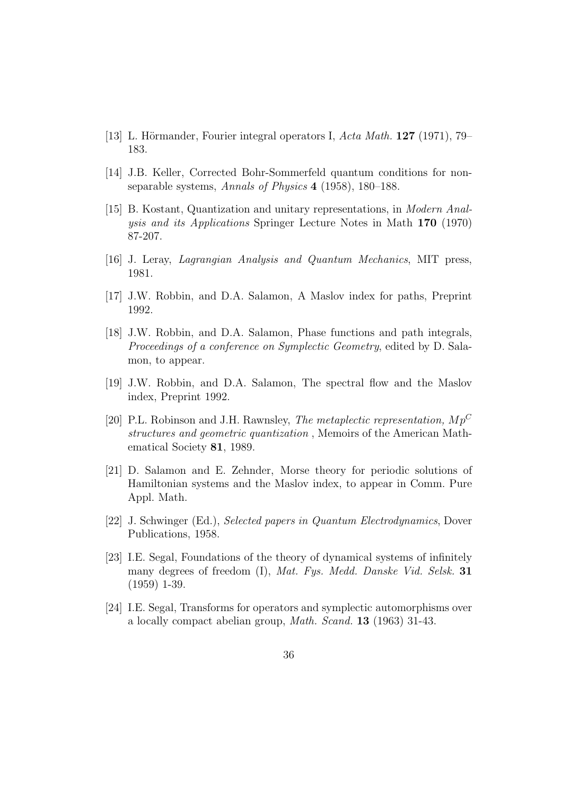- [13] L. Hörmander, Fourier integral operators I, Acta Math.  $127$  (1971), 79– 183.
- [14] J.B. Keller, Corrected Bohr-Sommerfeld quantum conditions for nonseparable systems, Annals of Physics 4 (1958), 180–188.
- [15] B. Kostant, Quantization and unitary representations, in Modern Analysis and its Applications Springer Lecture Notes in Math 170 (1970) 87-207.
- [16] J. Leray, Lagrangian Analysis and Quantum Mechanics, MIT press, 1981.
- [17] J.W. Robbin, and D.A. Salamon, A Maslov index for paths, Preprint 1992.
- [18] J.W. Robbin, and D.A. Salamon, Phase functions and path integrals, Proceedings of a conference on Symplectic Geometry, edited by D. Salamon, to appear.
- [19] J.W. Robbin, and D.A. Salamon, The spectral flow and the Maslov index, Preprint 1992.
- [20] P.L. Robinson and J.H. Rawnsley, *The metaplectic representation*,  $Mp^C$ structures and geometric quantization , Memoirs of the American Mathematical Society 81, 1989.
- [21] D. Salamon and E. Zehnder, Morse theory for periodic solutions of Hamiltonian systems and the Maslov index, to appear in Comm. Pure Appl. Math.
- [22] J. Schwinger (Ed.), Selected papers in Quantum Electrodynamics, Dover Publications, 1958.
- [23] I.E. Segal, Foundations of the theory of dynamical systems of infinitely many degrees of freedom (I), Mat. Fys. Medd. Danske Vid. Selsk. 31 (1959) 1-39.
- [24] I.E. Segal, Transforms for operators and symplectic automorphisms over a locally compact abelian group, Math. Scand. 13 (1963) 31-43.